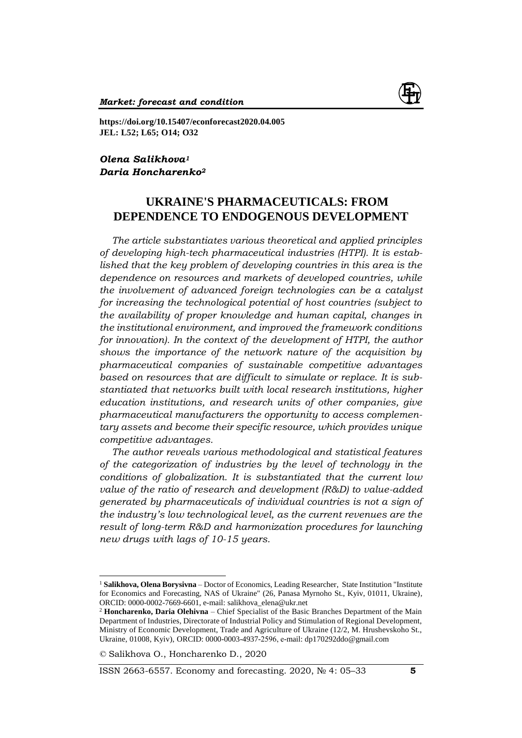

**https://doi.org/10.15407/econforecast2020.04.005 JEL: L52; L65; O14; O32**

*Olena Salikhova<sup>1</sup> Daria Honcharenko<sup>2</sup>*

# **UKRAINE'S PHARMACEUTICALS: FROM DEPENDENCE TO ENDOGENOUS DEVELOPMENT**

*The article substantiates various theoretical and applied principles of developing high-tech pharmaceutical industries (HTPI). It is established that the key problem of developing countries in this area is the dependence on resources and markets of developed countries, while the involvement of advanced foreign technologies can be a catalyst for increasing the technological potential of host countries (subject to the availability of proper knowledge and human capital, changes in the institutional environment, and improved the framework conditions for innovation). In the context of the development of HTPI, the author shows the importance of the network nature of the acquisition by pharmaceutical companies of sustainable competitive advantages based on resources that are difficult to simulate or replace. It is substantiated that networks built with local research institutions, higher education institutions, and research units of other companies, give pharmaceutical manufacturers the opportunity to access complementary assets and become their specific resource, which provides unique competitive advantages.*

*The author reveals various methodological and statistical features of the categorization of industries by the level of technology in the conditions of globalization. It is substantiated that the current low value of the ratio of research and development (R&D) to value-added generated by pharmaceuticals of individual countries is not a sign of the industry's low technological level, as the current revenues are the result of long-term R&D and harmonization procedures for launching new drugs with lags of 10-15 years.* 

 $\overline{a}$ 

ISSN 2663-6557. Economy and forecasting. 2020, № 4: 05–33 **5**

<sup>&</sup>lt;sup>1</sup> Salikhova, Olena Borysivna - Doctor of Economics, Leading Researcher, State Institution "Institute for Economics and Forecasting, NAS of Ukraine" (26, Panasa Myrnoho St., Kyiv, 01011, Ukraine), ORCID: 0000-0002-7669-6601, e-mail: salikhova\_elena@ukr.net

<sup>2</sup> **Honcharenko, Daria Olehivna** – Chief Specialist of the Basic Branches Department of the Main Department of Industries, Directorate of Industrial Policy and Stimulation of Regional Development, Ministry of Economic Development, Trade and Agriculture of Ukraine (12/2, M. Hrushevskoho St., Ukraine, 01008, Kyiv), ORCID: 0000-0003-4937-2596, е-mail: dp170292ddo@gmail.com

*<sup>©</sup>* Salikhova O., Honcharenko D., 2020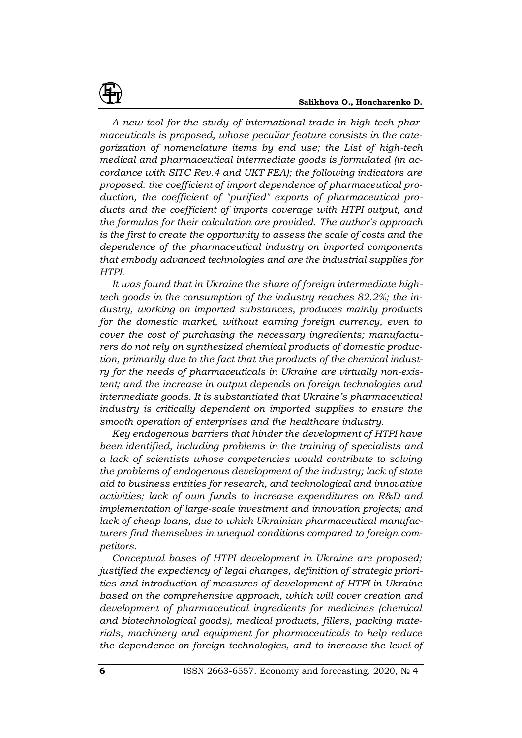*A new tool for the study of international trade in high-tech pharmaceuticals is proposed, whose peculiar feature consists in the categorization of nomenclature items by end use; the List of high-tech medical and pharmaceutical intermediate goods is formulated (in accordance with SITC Rev.4 and UKT FEA); the following indicators are proposed: the coefficient of import dependence of pharmaceutical production, the coefficient of "purified" exports of pharmaceutical products and the coefficient of imports coverage with HTPI output, and the formulas for their calculation are provided. The author's approach is the first to create the opportunity to assess the scale of costs and the dependence of the pharmaceutical industry on imported components that embody advanced technologies and are the industrial supplies for HTPI.*

*It was found that in Ukraine the share of foreign intermediate hightech goods in the consumption of the industry reaches 82.2%; the industry, working on imported substances, produces mainly products for the domestic market, without earning foreign currency, even to cover the cost of purchasing the necessary ingredients; manufacturers do not rely on synthesized chemical products of domestic production, primarily due to the fact that the products of the chemical industry for the needs of pharmaceuticals in Ukraine are virtually non-existent; and the increase in output depends on foreign technologies and intermediate goods. It is substantiated that Ukraine's pharmaceutical industry is critically dependent on imported supplies to ensure the smooth operation of enterprises and the healthcare industry.* 

*Key endogenous barriers that hinder the development of HTPI have been identified, including problems in the training of specialists and a lack of scientists whose competencies would contribute to solving the problems of endogenous development of the industry; lack of state aid to business entities for research, and technological and innovative activities; lack of own funds to increase expenditures on R&D and implementation of large-scale investment and innovation projects; and lack of cheap loans, due to which Ukrainian pharmaceutical manufacturers find themselves in unequal conditions compared to foreign competitors.* 

*Conceptual bases of HTPI development in Ukraine are proposed; justified the expediency of legal changes, definition of strategic priorities and introduction of measures of development of HTPI in Ukraine based on the comprehensive approach, which will cover creation and development of pharmaceutical ingredients for medicines (chemical and biotechnological goods), medical products, fillers, packing materials, machinery and equipment for pharmaceuticals to help reduce the dependence on foreign technologies, and to increase the level of*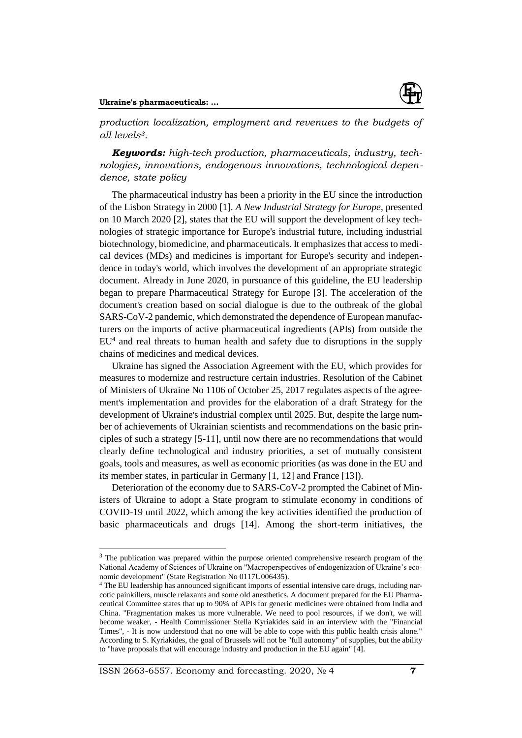*production localization, employment and revenues to the budgets of all levels3.*

*Keywords: high-tech production, pharmaceuticals, industry, technologies, innovations, endogenous innovations, technological dependence, state policy*

The pharmaceutical industry has been a priority in the EU since the introduction of the Lisbon Strategy in 2000 [1]. *A New Industrial Strategy for Europe*, presented on 10 March 2020 [2], states that the EU will support the development of key technologies of strategic importance for Europe's industrial future, including industrial biotechnology, biomedicine, and pharmaceuticals. It emphasizes that access to medical devices (MDs) and medicines is important for Europe's security and independence in today's world, which involves the development of an appropriate strategic document. Already in June 2020, in pursuance of this guideline, the EU leadership began to prepare Pharmaceutical Strategy for Europe [3]. The acceleration of the document's creation based on social dialogue is due to the outbreak of the global SARS-CoV-2 pandemic, which demonstrated the dependence of European manufacturers on the imports of active pharmaceutical ingredients (APIs) from outside the  $EU<sup>4</sup>$  and real threats to human health and safety due to disruptions in the supply chains of medicines and medical devices.

Ukraine has signed the Association Agreement with the EU, which provides for measures to modernize and restructure certain industries. Resolution of the Cabinet of Ministers of Ukraine No 1106 of October 25, 2017 regulates aspects of the agreement's implementation and provides for the elaboration of a draft Strategy for the development of Ukraine's industrial complex until 2025. But, despite the large number of achievements of Ukrainian scientists and recommendations on the basic principles of such a strategy [5-11], until now there are no recommendations that would clearly define technological and industry priorities, a set of mutually consistent goals, tools and measures, as well as economic priorities (as was done in the EU and its member states, in particular in Germany [1, 12] and France [13]).

Deterioration of the economy due to SARS-CoV-2 prompted the Cabinet of Ministers of Ukraine to adopt a State program to stimulate economy in conditions of COVID-19 until 2022, which among the key activities identified the production of basic pharmaceuticals and drugs [14]. Among the short-term initiatives, the

<sup>&</sup>lt;sup>3</sup> The publication was prepared within the purpose oriented comprehensive research program of the National Academy of Sciences of Ukraine on "Macroperspectives of endogenization of Ukraine's economic development" (State Registration No 0117U006435).

<sup>4</sup> The EU leadership has announced significant imports of essential intensive care drugs, including narcotic painkillers, muscle relaxants and some old anesthetics. A document prepared for the EU Pharmaceutical Committee states that up to 90% of APIs for generic medicines were obtained from India and China. "Fragmentation makes us more vulnerable. We need to pool resources, if we don't, we will become weaker, - Health Commissioner Stella Kyriakides said in an interview with the "Financial Times", - It is now understood that no one will be able to cope with this public health crisis alone." According to S. Kyriakides, the goal of Brussels will not be "full autonomy" of supplies, but the ability to "have proposals that will encourage industry and production in the EU again" [4].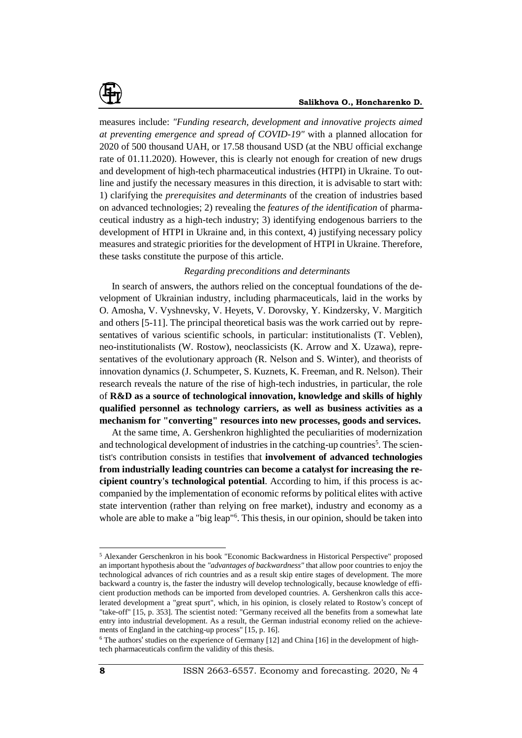

measures include: *"Funding research, development and innovative projects aimed at preventing emergence and spread of COVID-19"* with a planned allocation for 2020 of 500 thousand UAH, or 17.58 thousand USD (at the NBU official exchange rate of 01.11.2020). However, this is clearly not enough for creation of new drugs and development of high-tech pharmaceutical industries (HTPI) in Ukraine. To outline and justify the necessary measures in this direction, it is advisable to start with: 1) clarifying the *prerequisites and determinants* of the creation of industries based on advanced technologies; 2) revealing the *features of the identification* of pharmaceutical industry as a high-tech industry; 3) identifying endogenous barriers to the development of HTPI in Ukraine and, in this context, 4) justifying necessary policy measures and strategic priorities for the development of HTPI in Ukraine. Therefore, these tasks constitute the purpose of this article.

## *Regarding preconditions and determinants*

In search of answers, the authors relied on the conceptual foundations of the development of Ukrainian industry, including pharmaceuticals, laid in the works by O. Amosha, V. Vyshnevsky, V. Heyets, V. Dorovsky, Y. Kindzersky, V. Margitich and others [5-11]. The principal theoretical basis was the work carried out by representatives of various scientific schools, in particular: institutionalists (T. Veblen), neo-institutionalists (W. Rostow), neoclassicists (K. Arrow and X. Uzawa), representatives of the evolutionary approach (R. Nelson and S. Winter), and theorists of innovation dynamics (J. Schumpeter, S. Kuznets, K. Freeman, and R. Nelson). Their research reveals the nature of the rise of high-tech industries, in particular, the role of **R&D as a source of technological innovation, knowledge and skills of highly qualified personnel as technology carriers, as well as business activities as a mechanism for "converting" resources into new processes, goods and services.**

At the same time, A. Gershenkron highlighted the peculiarities of modernization and technological development of industries in the catching-up countries<sup>5</sup>. The scientist's contribution consists in testifies that **involvement of advanced technologies from industrially leading countries can become a catalyst for increasing the recipient country's technological potential**. According to him, if this process is accompanied by the implementation of economic reforms by political elites with active state intervention (rather than relying on free market), industry and economy as a whole are able to make a "big leap"<sup>6</sup>. This thesis, in our opinion, should be taken into

<sup>5</sup> Alexander Gerschenkron in his book "Economic Backwardness in Historical Perspective" proposed an important hypothesis about the *"advantages of backwardness"* that allow poor countries to enjoy the technological advances of rich countries and as a result skip entire stages of development. The more backward a country is, the faster the industry will develop technologically, because knowledge of efficient production methods can be imported from developed countries. A. Gershenkron calls this accelerated development a "great spurt", which, in his opinion, is closely related to Rostow's concept of "take-off" [15, p. 353]. The scientist noted: "Germany received all the benefits from a somewhat late entry into industrial development. As a result, the German industrial economy relied on the achievements of England in the catching-up process" [15, p. 16].

 $6$  The authors' studies on the experience of Germany [12] and China [16] in the development of hightech pharmaceuticals confirm the validity of this thesis.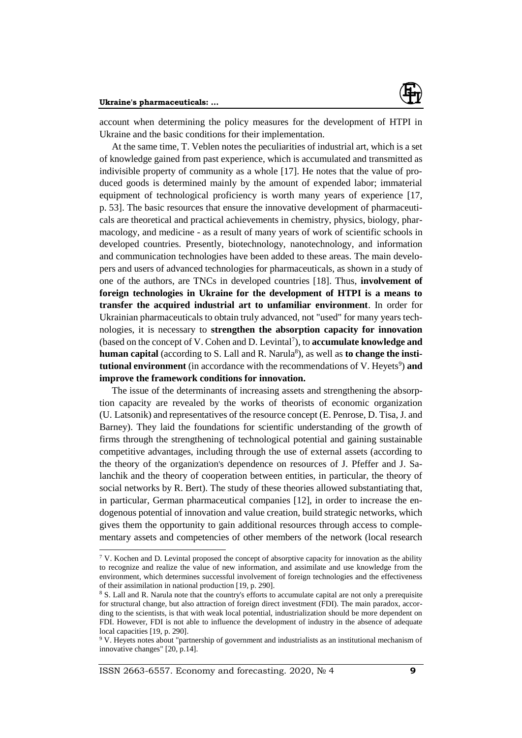

account when determining the policy measures for the development of HTPI in Ukraine and the basic conditions for their implementation.

At the same time, T. Veblen notes the peculiarities of industrial art, which is a set of knowledge gained from past experience, which is accumulated and transmitted as indivisible property of community as a whole [17]. He notes that the value of produced goods is determined mainly by the amount of expended labor; immaterial equipment of technological proficiency is worth many years of experience [17, p. 53]. The basic resources that ensure the innovative development of pharmaceuticals are theoretical and practical achievements in chemistry, physics, biology, pharmacology, and medicine - as a result of many years of work of scientific schools in developed countries. Presently, biotechnology, nanotechnology, and information and communication technologies have been added to these areas. The main developers and users of advanced technologies for pharmaceuticals, as shown in a study of one of the authors, are TNCs in developed countries [18]. Thus, **involvement of foreign technologies in Ukraine for the development of HTPI is a means to transfer the acquired industrial art to unfamiliar environment**. In order for Ukrainian pharmaceuticals to obtain truly advanced, not "used" for many years technologies, it is necessary to **strengthen the absorption capacity for innovation** (based on the concept of V. Cohen and D. Levintal<sup>7</sup>), to **accumulate knowledge and** human capital (according to S. Lall and R. Narula<sup>8</sup>), as well as to change the insti**tutional environment** (in accordance with the recommendations of V. Heyets<sup>9</sup>) and **improve the framework conditions for innovation.**

The issue of the determinants of increasing assets and strengthening the absorption capacity are revealed by the works of theorists of economic organization (U. Latsonik) and representatives of the resource concept (E. Penrose, D. Tisa, J. and Barney). They laid the foundations for scientific understanding of the growth of firms through the strengthening of technological potential and gaining sustainable competitive advantages, including through the use of external assets (according to the theory of the organization's dependence on resources of J. Pfeffer and J. Salanchik and the theory of cooperation between entities, in particular, the theory of social networks by R. Bert). The study of these theories allowed substantiating that, in particular, German pharmaceutical companies [12], in order to increase the endogenous potential of innovation and value creation, build strategic networks, which gives them the opportunity to gain additional resources through access to complementary assets and competencies of other members of the network (local research

 $7$  V. Kochen and D. Levintal proposed the concept of absorptive capacity for innovation as the ability to recognize and realize the value of new information, and assimilate and use knowledge from the environment, which determines successful involvement of foreign technologies and the effectiveness of their assimilation in national production [19, p. 290].

<sup>8</sup> S. Lall and R. Narula note that the country's efforts to accumulate capital are not only a prerequisite for structural change, but also attraction of foreign direct investment (FDI). The main paradox, according to the scientists, is that with weak local potential, industrialization should be more dependent on FDI. However, FDI is not able to influence the development of industry in the absence of adequate local capacities [19, p. 290].

<sup>9</sup> V. Heyets notes about "partnership of government and industrialists as an institutional mechanism of innovative changes" [20, p.14].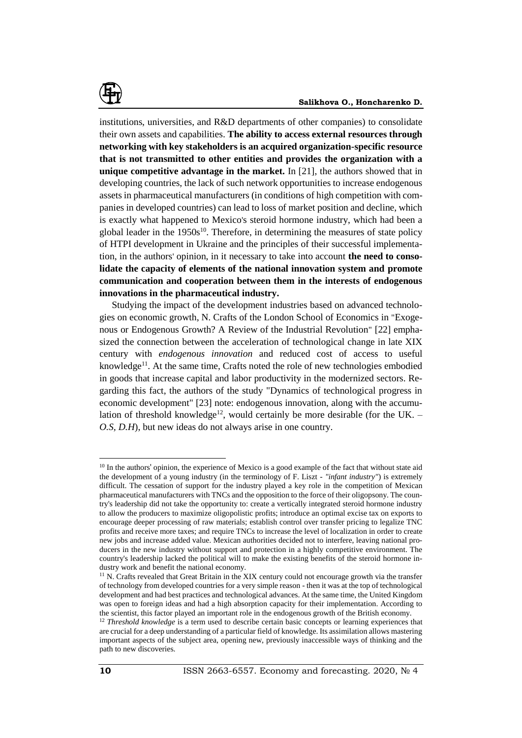

institutions, universities, and R&D departments of other companies) to consolidate their own assets and capabilities. **The ability to access external resources through networking with key stakeholders is an acquired organization-specific resource that is not transmitted to other entities and provides the organization with a unique competitive advantage in the market.** In [21], the authors showed that in developing countries, the lack of such network opportunities to increase endogenous assets in pharmaceutical manufacturers (in conditions of high competition with companies in developed countries) can lead to loss of market position and decline, which is exactly what happened to Mexico's steroid hormone industry, which had been a global leader in the  $1950s^{10}$ . Therefore, in determining the measures of state policy of HTPI development in Ukraine and the principles of their successful implementation, in the authors' opinion, in it necessary to take into account **the need to consolidate the capacity of elements of the national innovation system and promote communication and cooperation between them in the interests of endogenous innovations in the pharmaceutical industry.**

Studying the impact of the development industries based on advanced technologies on economic growth, N. Crafts of the London School of Economics in "Exogenous or Endogenous Growth? A Review of the Industrial Revolution" [22] emphasized the connection between the acceleration of technological change in late XIX century with *endogenous innovation* and reduced cost of access to useful knowledge<sup>11</sup>. At the same time, Crafts noted the role of new technologies embodied in goods that increase capital and labor productivity in the modernized sectors. Regarding this fact, the authors of the study "Dynamics of technological progress in economic development" [23] note: endogenous innovation, along with the accumulation of threshold knowledge<sup>12</sup>, would certainly be more desirable (for the UK. – *O.S, D.H*), but new ideas do not always arise in one country.

<sup>&</sup>lt;sup>10</sup> In the authors' opinion, the experience of Mexico is a good example of the fact that without state aid the development of a young industry (in the terminology of F. Liszt - *"infant industry"*) is extremely difficult. The cessation of support for the industry played a key role in the competition of Mexican pharmaceutical manufacturers with TNCs and the opposition to the force of their oligopsony. The country's leadership did not take the opportunity to: create a vertically integrated steroid hormone industry to allow the producers to maximize oligopolistic profits; introduce an optimal excise tax on exports to encourage deeper processing of raw materials; establish control over transfer pricing to legalize TNC profits and receive more taxes; and require TNCs to increase the level of localization in order to create new jobs and increase added value. Mexican authorities decided not to interfere, leaving national producers in the new industry without support and protection in a highly competitive environment. The country's leadership lacked the political will to make the existing benefits of the steroid hormone industry work and benefit the national economy.

<sup>&</sup>lt;sup>11</sup> N. Crafts revealed that Great Britain in the XIX century could not encourage growth via the transfer of technology from developed countries for a very simple reason - then it was at the top of technological development and had best practices and technological advances. At the same time, the United Kingdom was open to foreign ideas and had a high absorption capacity for their implementation. According to the scientist, this factor played an important role in the endogenous growth of the British economy.

<sup>&</sup>lt;sup>12</sup> *Threshold knowledge* is a term used to describe certain basic concepts or learning experiences that are crucial for a deep understanding of a particular field of knowledge. Its assimilation allows mastering important aspects of the subject area, opening new, previously inaccessible ways of thinking and the path to new discoveries.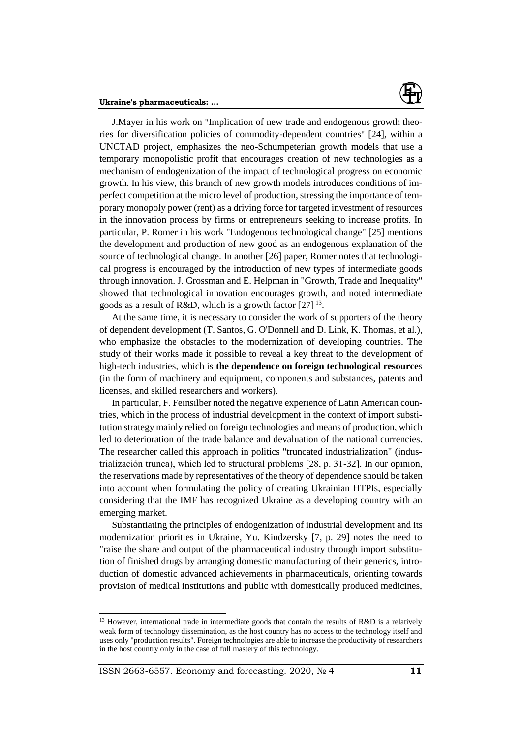

J.Mayer in his work on "Implication of new trade and endogenous growth theories for diversification policies of commodity-dependent countries" [24], within a UNCTAD project, emphasizes the neo-Schumpeterian growth models that use a temporary monopolistic profit that encourages creation of new technologies as a mechanism of endogenization of the impact of technological progress on economic growth. In his view, this branch of new growth models introduces conditions of imperfect competition at the micro level of production, stressing the importance of temporary monopoly power (rent) as a driving force for targeted investment of resources in the innovation process by firms or entrepreneurs seeking to increase profits. In particular, P. Romer in his work "Endogenous technological change" [25] mentions the development and production of new good as an endogenous explanation of the source of technological change. In another [26] paper, Romer notes that technological progress is encouraged by the introduction of new types of intermediate goods through innovation. J. Grossman and E. Helpman in "Growth, Trade and Inequality" showed that technological innovation encourages growth, and noted intermediate goods as a result of R&D, which is a growth factor  $[27]$ <sup>13</sup>.

At the same time, it is necessary to consider the work of supporters of the theory of dependent development (T. Santos, G. O'Donnell and D. Link, K. Thomas, et al.), who emphasize the obstacles to the modernization of developing countries. The study of their works made it possible to reveal a key threat to the development of high-tech industries, which is **the dependence on foreign technological resource**s (in the form of machinery and equipment, components and substances, patents and licenses, and skilled researchers and workers).

In particular, F. Feinsilber noted the negative experience of Latin American countries, which in the process of industrial development in the context of import substitution strategy mainly relied on foreign technologies and means of production, which led to deterioration of the trade balance and devaluation of the national currencies. The researcher called this approach in politics "truncated industrialization" (industrialización trunca), which led to structural problems [28, p. 31-32]. In our opinion, the reservations made by representatives of the theory of dependence should be taken into account when formulating the policy of creating Ukrainian HTPIs, especially considering that the IMF has recognized Ukraine as a developing country with an emerging market.

Substantiating the principles of endogenization of industrial development and its modernization priorities in Ukraine, Yu. Kindzersky [7, p. 29] notes the need to "raise the share and output of the pharmaceutical industry through import substitution of finished drugs by arranging domestic manufacturing of their generics, introduction of domestic advanced achievements in pharmaceuticals, orienting towards provision of medical institutions and public with domestically produced medicines,

<sup>&</sup>lt;sup>13</sup> However, international trade in intermediate goods that contain the results of R&D is a relatively weak form of technology dissemination, as the host country has no access to the technology itself and uses only "production results". Foreign technologies are able to increase the productivity of researchers in the host country only in the case of full mastery of this technology.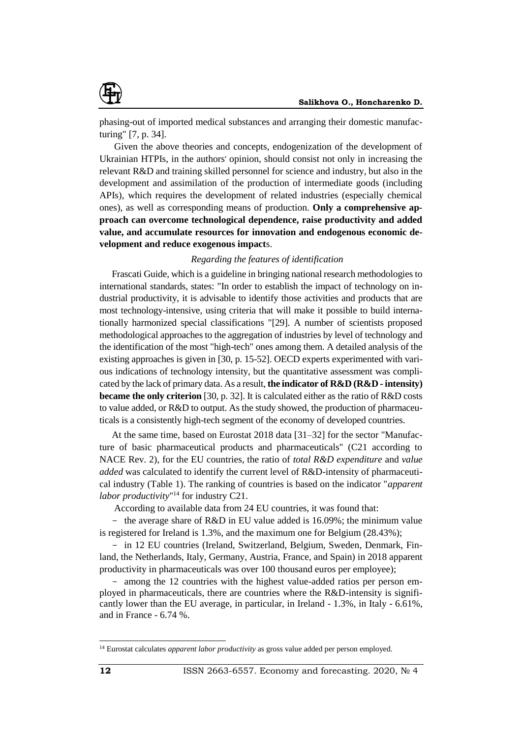

phasing-out of imported medical substances and arranging their domestic manufacturing" [7, p. 34].

Given the above theories and concepts, endogenization of the development of Ukrainian HTPIs, in the authors' opinion, should consist not only in increasing the relevant R&D and training skilled personnel for science and industry, but also in the development and assimilation of the production of intermediate goods (including APIs), which requires the development of related industries (especially chemical ones), as well as corresponding means of production. **Only a comprehensive approach can overcome technological dependence, raise productivity and added value, and accumulate resources for innovation and endogenous economic development and reduce exogenous impact**s.

## *Regarding the features of identification*

Frascati Guide, which is a guideline in bringing national research methodologies to international standards, states: "In order to establish the impact of technology on industrial productivity, it is advisable to identify those activities and products that are most technology-intensive, using criteria that will make it possible to build internationally harmonized special classifications "[29]. A number of scientists proposed methodological approaches to the aggregation of industries by level of technology and the identification of the most "high-tech" ones among them. A detailed analysis of the existing approaches is given in [30, p. 15-52]. OECD experts experimented with various indications of technology intensity, but the quantitative assessment was complicated by the lack of primary data. As a result, **the indicator of R&D (R&D - intensity) became the only criterion** [30, p. 32]. It is calculated either as the ratio of R&D costs to value added, or R&D to output. As the study showed, the production of pharmaceuticals is a consistently high-tech segment of the economy of developed countries.

At the same time, based on Eurostat 2018 data [31–32] for the sector "Manufacture of basic pharmaceutical products and pharmaceuticals" (C21 according to NACE Rev. 2), for the EU countries, the ratio of *total R&D expenditure* and *value added* was calculated to identify the current level of R&D-intensity of pharmaceutical industry (Table 1). The ranking of countries is based on the indicator "*apparent labor productivity*" <sup>14</sup> for industry C21.

According to available data from 24 EU countries, it was found that:

- the average share of R&D in EU value added is 16.09%; the minimum value is registered for Ireland is 1.3%, and the maximum one for Belgium (28.43%);

- in 12 EU countries (Ireland, Switzerland, Belgium, Sweden, Denmark, Finland, the Netherlands, Italy, Germany, Austria, France, and Spain) in 2018 apparent productivity in pharmaceuticals was over 100 thousand euros per employee);

- among the 12 countries with the highest value-added ratios per person employed in pharmaceuticals, there are countries where the R&D-intensity is significantly lower than the EU average, in particular, in Ireland - 1.3%, in Italy - 6.61%, and in France - 6.74 %.

<sup>14</sup> Eurostat calculates *apparent labor productivity* as gross value added per person employed.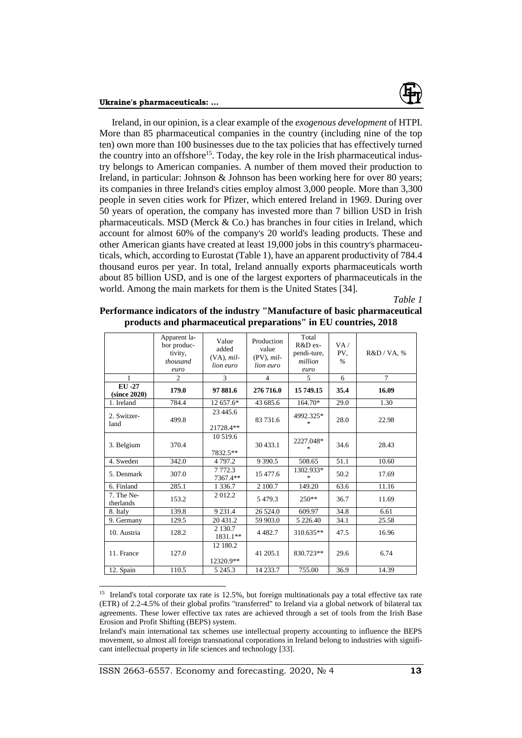

Ireland, in our opinion, is a clear example of the *exogenous development* of HTPI. More than 85 pharmaceutical companies in the country (including nine of the top ten) own more than 100 businesses due to the tax policies that has effectively turned the country into an offshore<sup>15</sup>. Today, the key role in the Irish pharmaceutical industry belongs to American companies. A number of them moved their production to Ireland, in particular: Johnson & Johnson has been working here for over 80 years; its companies in three Ireland's cities employ almost 3,000 people. More than 3,300 people in seven cities work for Pfizer, which entered Ireland in 1969. During over 50 years of operation, the company has invested more than 7 billion USD in Irish pharmaceuticals. MSD (Merck & Co.) has branches in four cities in Ireland, which account for almost 60% of the company's 20 world's leading products. These and other American giants have created at least 19,000 jobs in this country's pharmaceuticals, which, according to Eurostat (Table 1), have an apparent productivity of 784.4 thousand euros per year. In total, Ireland annually exports pharmaceuticals worth about 85 billion USD, and is one of the largest exporters of pharmaceuticals in the world. Among the main markets for them is the United States [34].

*Table 1*

| Performance indicators of the industry "Manufacture of basic pharmaceutical |  |
|-----------------------------------------------------------------------------|--|
| products and pharmaceutical preparations" in EU countries, 2018             |  |

|                         | Apparent la-<br>bor produc-<br>tivity,<br>thousand<br>euro | Value<br>added<br>$(VA)$ , mil-<br>lion euro | Production<br>value<br>$(PV)$ , mil-<br>lion euro | Total<br>R&D ex-<br>pendi-ture,<br>million<br>euro | VA /<br>PV.<br>$\%$ | R&D/VA, %      |
|-------------------------|------------------------------------------------------------|----------------------------------------------|---------------------------------------------------|----------------------------------------------------|---------------------|----------------|
| 1                       | $\overline{2}$                                             | $\overline{3}$                               | $\overline{4}$                                    | 5                                                  | 6                   | $\overline{7}$ |
| EU -27<br>(since 2020)  | 179.0                                                      | 97 881.6                                     | 276 716.0                                         | 15 749.15                                          | 35.4                | 16.09          |
| 1. Ireland              | 784.4                                                      | 12 657.6*                                    | 43 685.6                                          | 164.70*                                            | 29.0                | 1.30           |
| 2. Switzer-<br>land     | 499.8                                                      | 23 445.6<br>21728.4**                        | 83 731.6                                          | 4992.325*<br>*                                     | 28.0                | 22.98          |
| 3. Belgium              | 370.4                                                      | 10 519.6<br>7832.5**                         | 30 433.1                                          | 2227.048*<br>永                                     | 34.6                | 28.43          |
| 4. Sweden               | 342.0                                                      | 4 7 9 7.2                                    | 9 3 9 0.5                                         | 508.65                                             | 51.1                | 10.60          |
| 5. Denmark              | 307.0                                                      | 7 7 7 2 . 3<br>7367.4**                      | 15 477.6                                          | 1302.933*<br>$\frac{d\mathbf{x}}{d\mathbf{x}}$     | 50.2                | 17.69          |
| 6. Finland              | 285.1                                                      | 1 3 3 6 .7                                   | 2 100.7                                           | 149.20                                             | 63.6                | 11.16          |
| 7. The Ne-<br>therlands | 153.2                                                      | 2012.2                                       | 5479.3                                            | $250**$                                            | 36.7                | 11.69          |
| 8. Italy                | 139.8                                                      | 9 2 3 1.4                                    | 26 5 24.0                                         | 609.97                                             | 34.8                | 6.61           |
| 9. Germany              | 129.5                                                      | 20 431.2                                     | 59 903.0                                          | 5 2 2 6 .40                                        | 34.1                | 25.58          |
| 10. Austria             | 128.2                                                      | 2 1 3 0.7<br>1831.1**                        | 4 4 8 2.7                                         | 310.635**                                          | 47.5                | 16.96          |
| 11. France              | 127.0                                                      | 12 180.2<br>12320.9**                        | 41 205.1                                          | 830.723**                                          | 29.6                | 6.74           |
| 12. Spain               | 110.5                                                      | 5 2 4 5 .3                                   | 14 233.7                                          | 755.00                                             | 36.9                | 14.39          |

<sup>&</sup>lt;sup>15</sup> Ireland's total corporate tax rate is 12.5%, but foreign multinationals pay a total effective tax rate (ETR) of 2.2-4.5% of their global profits "transferred" to Ireland via a global network of bilateral tax agreements. These lower effective tax rates are achieved through a set of tools from the Irish Base Erosion and Profit Shifting (BEPS) system.

Ireland's main international tax schemes use intellectual property accounting to influence the BEPS movement, so almost all foreign transnational corporations in Ireland belong to industries with significant intellectual property in life sciences and technology [33].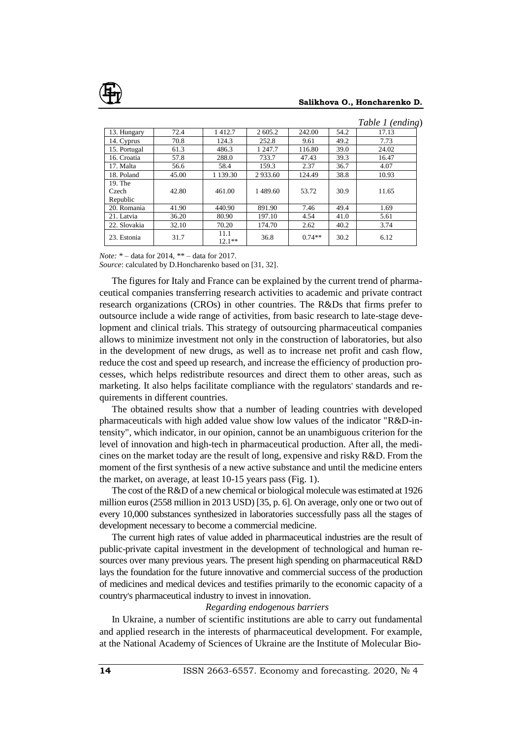

#### **Salikhova O., Honcharenko D.**

|                  |       |                  |         |          |      | Table 1 (ending) |
|------------------|-------|------------------|---------|----------|------|------------------|
| 13. Hungary      | 72.4  | 1412.7           | 2 605.2 | 242.00   | 54.2 | 17.13            |
| 14. Cyprus       | 70.8  | 124.3            | 252.8   | 9.61     | 49.2 | 7.73             |
| 15. Portugal     | 61.3  | 486.3            | 1 247.7 | 116.80   | 39.0 | 24.02            |
| 16. Croatia      | 57.8  | 288.0            | 733.7   | 47.43    | 39.3 | 16.47            |
| 17. Malta        | 56.6  | 58.4             | 159.3   | 2.37     | 36.7 | 4.07             |
| 18. Poland       | 45.00 | 1 139.30         | 2933.60 | 124.49   | 38.8 | 10.93            |
| 19. The<br>Czech | 42.80 | 461.00           | 1489.60 | 53.72    | 30.9 | 11.65            |
| Republic         |       |                  |         |          |      |                  |
| 20. Romania      | 41.90 | 440.90           | 891.90  | 7.46     | 49.4 | 1.69             |
| 21. Latvia       | 36.20 | 80.90            | 197.10  | 4.54     | 41.0 | 5.61             |
| 22. Slovakia     | 32.10 | 70.20            | 174.70  | 2.62     | 40.2 | 3.74             |
| 23. Estonia      | 31.7  | 11.1<br>$12.1**$ | 36.8    | $0.74**$ | 30.2 | 6.12             |

*Note:* \* – data for 2014, \*\* – data for 2017.

*Source*: calculated by D.Honcharenko based on [31, 32].

The figures for Italy and France can be explained by the current trend of pharmaceutical companies transferring research activities to academic and private contract research organizations (CROs) in other countries. The R&Ds that firms prefer to outsource include a wide range of activities, from basic research to late-stage development and clinical trials. This strategy of outsourcing pharmaceutical companies allows to minimize investment not only in the construction of laboratories, but also in the development of new drugs, as well as to increase net profit and cash flow, reduce the cost and speed up research, and increase the efficiency of production processes, which helps redistribute resources and direct them to other areas, such as marketing. It also helps facilitate compliance with the regulators' standards and requirements in different countries.

The obtained results show that a number of leading countries with developed pharmaceuticals with high added value show low values of the indicator "R&D-intensity", which indicator, in our opinion, cannot be an unambiguous criterion for the level of innovation and high-tech in pharmaceutical production. After all, the medicines on the market today are the result of long, expensive and risky R&D. From the moment of the first synthesis of a new active substance and until the medicine enters the market, on average, at least 10-15 years pass (Fig. 1).

The cost of the R&D of a new chemical or biological molecule was estimated at 1926 million euros (2558 million in 2013 USD) [35, p. 6]. On average, only one or two out of every 10,000 substances synthesized in laboratories successfully pass all the stages of development necessary to become a commercial medicine.

The current high rates of value added in pharmaceutical industries are the result of public-private capital investment in the development of technological and human resources over many previous years. The present high spending on pharmaceutical R&D lays the foundation for the future innovative and commercial success of the production of medicines and medical devices and testifies primarily to the economic capacity of a country's pharmaceutical industry to invest in innovation.

### *Regarding endogenous barriers*

In Ukraine, a number of scientific institutions are able to carry out fundamental and applied research in the interests of pharmaceutical development. For example, at the National Academy of Sciences of Ukraine are the Institute of Molecular Bio-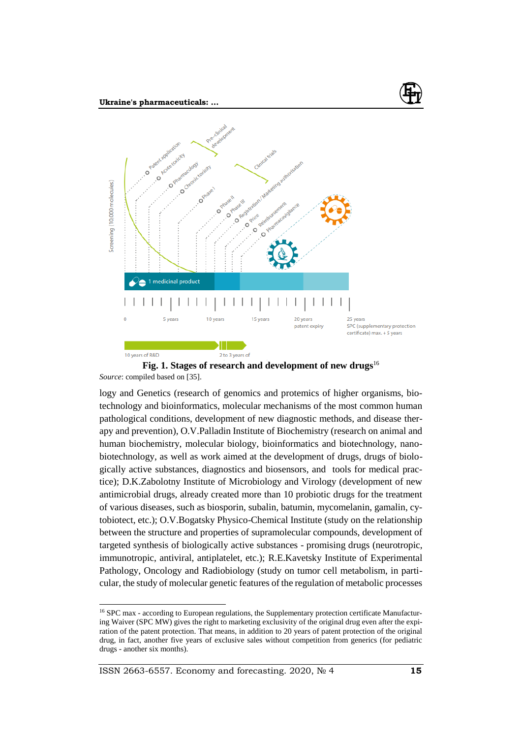

**Fig. 1. Stages of research and development of new drugs**<sup>16</sup> *Source*: compiled based on [35].

logy and Genetics (research of genomics and protemics of higher organisms, biotechnology and bioinformatics, molecular mechanisms of the most common human pathological conditions, development of new diagnostic methods, and disease therapy and prevention), O.V.Palladin Institute of Biochemistry (research on animal and human biochemistry, molecular biology, bioinformatics and biotechnology, nanobiotechnology, as well as work aimed at the development of drugs, drugs of biologically active substances, diagnostics and biosensors, and tools for medical practice); D.K.Zabolotny Institute of Microbiology and Virology (development of new antimicrobial drugs, already created more than 10 probiotic drugs for the treatment of various diseases, such as biosporin, subalin, batumin, mycomelanin, gamalin, cytobiotect, etc.); O.V.Bogatsky Physico-Chemical Institute (study on the relationship between the structure and properties of supramolecular compounds, development of targeted synthesis of biologically active substances - promising drugs (neurotropic, immunotropic, antiviral, antiplatelet, etc.); R.E.Kavetsky Institute of Experimental Pathology, Oncology and Radiobiology (study on tumor cell metabolism, in particular, the study of molecular genetic features of the regulation of metabolic processes

<sup>&</sup>lt;sup>16</sup> SPC max - according to European regulations, the Supplementary protection certificate Manufacturing Waiver (SPC MW) gives the right to marketing exclusivity of the original drug even after the expiration of the patent protection. That means, in addition to 20 years of patent protection of the original drug, in fact, another five years of exclusive sales without competition from generics (for pediatric drugs - another six months).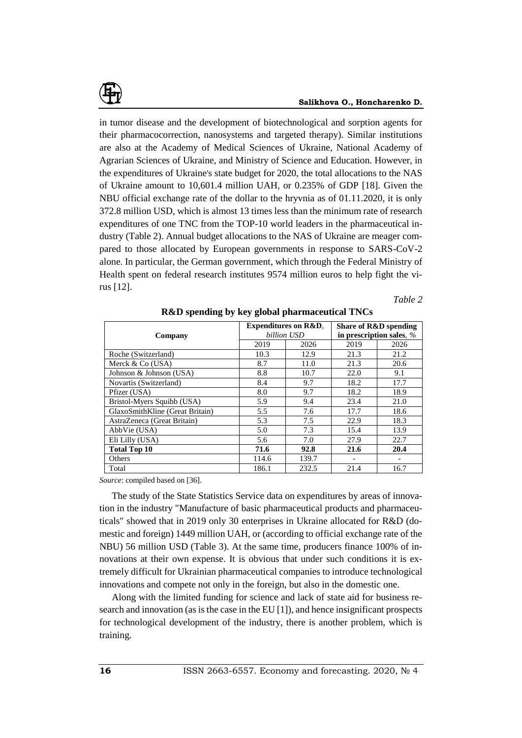

in tumor disease and the development of biotechnological and sorption agents for their pharmacocorrection, nanosystems and targeted therapy). Similar institutions are also at the Academy of Medical Sciences of Ukraine, National Academy of Agrarian Sciences of Ukraine, and Ministry of Science and Education. However, in the expenditures of Ukraine's state budget for 2020, the total allocations to the NAS of Ukraine amount to 10,601.4 million UAH, or 0.235% of GDP [18]. Given the NBU official exchange rate of the dollar to the hryvnia as of 01.11.2020, it is only 372.8 million USD, which is almost 13 times less than the minimum rate of research expenditures of one TNC from the TOP-10 world leaders in the pharmaceutical industry (Table 2). Annual budget allocations to the NAS of Ukraine are meager compared to those allocated by European governments in response to SARS-CoV-2 alone. In particular, the German government, which through the Federal Ministry of Health spent on federal research institutes 9574 million euros to help fight the virus [12].

### *Table 2*

| Company                         |       | <b>Expenditures on R&amp;D.</b><br>billion USD | Share of R&D spending<br>in prescription sales, % |      |  |
|---------------------------------|-------|------------------------------------------------|---------------------------------------------------|------|--|
|                                 | 2019  | 2026                                           | 2019                                              | 2026 |  |
| Roche (Switzerland)             | 10.3  | 12.9                                           | 21.3                                              | 21.2 |  |
| Merck & Co (USA)                | 8.7   | 11.0                                           | 21.3                                              | 20.6 |  |
| Johnson & Johnson (USA)         | 8.8   | 10.7                                           | 22.0                                              | 9.1  |  |
| Novartis (Switzerland)          | 8.4   | 9.7                                            | 18.2                                              | 17.7 |  |
| Pfizer (USA)                    | 8.0   | 9.7                                            | 18.2                                              | 18.9 |  |
| Bristol-Myers Squibb (USA)      | 5.9   | 9.4                                            | 23.4                                              | 21.0 |  |
| GlaxoSmithKline (Great Britain) | 5.5   | 7.6                                            | 17.7                                              | 18.6 |  |
| AstraZeneca (Great Britain)     | 5.3   | 7.5                                            | 22.9                                              | 18.3 |  |
| AbbVie (USA)                    | 5.0   | 7.3                                            | 15.4                                              | 13.9 |  |
| Eli Lilly (USA)                 | 5.6   | 7.0                                            | 27.9                                              | 22.7 |  |
| <b>Total Top 10</b>             | 71.6  | 92.8                                           | 21.6                                              | 20.4 |  |
| Others                          | 114.6 | 139.7                                          |                                                   |      |  |
| Total                           | 186.1 | 232.5                                          | 21.4                                              | 16.7 |  |

**R&D spending by key global pharmaceutical TNCs**

*Source*: compiled based on [36].

The study of the State Statistics Service data on expenditures by areas of innovation in the industry "Manufacture of basic pharmaceutical products and pharmaceuticals" showed that in 2019 only 30 enterprises in Ukraine allocated for R&D (domestic and foreign) 1449 million UAH, or (according to official exchange rate of the NBU) 56 million USD (Table 3). At the same time, producers finance 100% of innovations at their own expense. It is obvious that under such conditions it is extremely difficult for Ukrainian pharmaceutical companies to introduce technological innovations and compete not only in the foreign, but also in the domestic one.

Along with the limited funding for science and lack of state aid for business research and innovation (as is the case in the EU [1]), and hence insignificant prospects for technological development of the industry, there is another problem, which is training.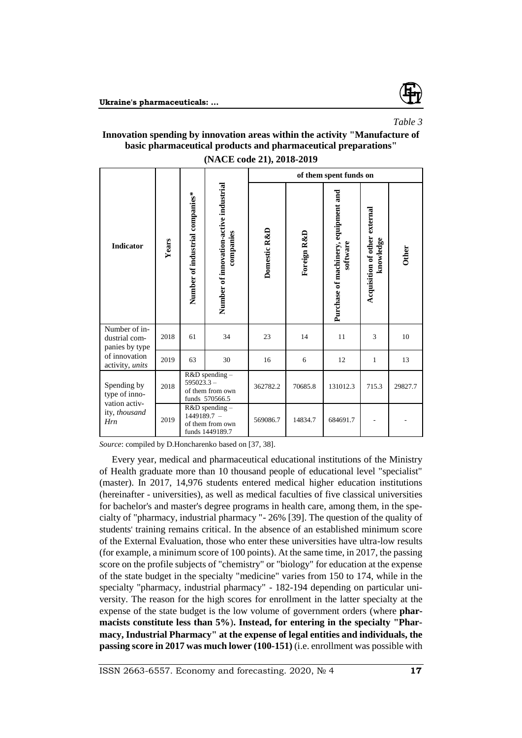

## *Table 3*

## **Innovation spending by innovation areas within the activity "Manufacture of basic pharmaceutical products and pharmaceutical preparations"**

|                                                                       |       |                                 |                                                       |              |             | of them spent funds on                           |                                            |              |
|-----------------------------------------------------------------------|-------|---------------------------------|-------------------------------------------------------|--------------|-------------|--------------------------------------------------|--------------------------------------------|--------------|
| <b>Indicator</b>                                                      | Years | Number of industrial companies* | Number of innovation-active industrial<br>companies   | Domestic R&D | Foreign R&D | Purchase of machinery, equipment and<br>software | Acquisition of other external<br>knowledge | <b>Other</b> |
| Number of in-<br>dustrial com-<br>panies by type                      | 2018  | 61                              | 34                                                    | 23           | 14          | 11                                               | 3                                          | 10           |
| of innovation<br>activity, units                                      | 2019  | 63                              | 30                                                    | 16           | 6           | 12                                               | $\mathbf{1}$                               | 13           |
| Spending by<br>type of inno-<br>vation activ-<br>ity, thousand<br>Hrn | 2018  | $595023.3 -$                    | R&D spending-<br>of them from own<br>funds 570566.5   | 362782.2     | 70685.8     | 131012.3                                         | 715.3                                      | 29827.7      |
|                                                                       | 2019  | 1449189.7 -                     | R&D spending -<br>of them from own<br>funds 1449189.7 | 569086.7     | 14834.7     | 684691.7                                         |                                            |              |

**(NACE code 21), 2018-2019**

*Source*: compiled by D.Honcharenko based on [37, 38].

Every year, medical and pharmaceutical educational institutions of the Ministry of Health graduate more than 10 thousand people of educational level "specialist" (master). In 2017, 14,976 students entered medical higher education institutions (hereinafter - universities), as well as medical faculties of five classical universities for bachelor's and master's degree programs in health care, among them, in the specialty of "pharmacy, industrial pharmacy "- 26% [39]. The question of the quality of students' training remains critical. In the absence of an established minimum score of the External Evaluation, those who enter these universities have ultra-low results (for example, a minimum score of 100 points). At the same time, in 2017, the passing score on the profile subjects of "chemistry" or "biology" for education at the expense of the state budget in the specialty "medicine" varies from 150 to 174, while in the specialty "pharmacy, industrial pharmacy" - 182-194 depending on particular university. The reason for the high scores for enrollment in the latter specialty at the expense of the state budget is the low volume of government orders (where **pharmacists constitute less than 5%**)**. Instead, for entering in the specialty "Pharmacy, Industrial Pharmacy" at the expense of legal entities and individuals, the passing score in 2017 was much lower (100-151)** (i.e. enrollment was possible with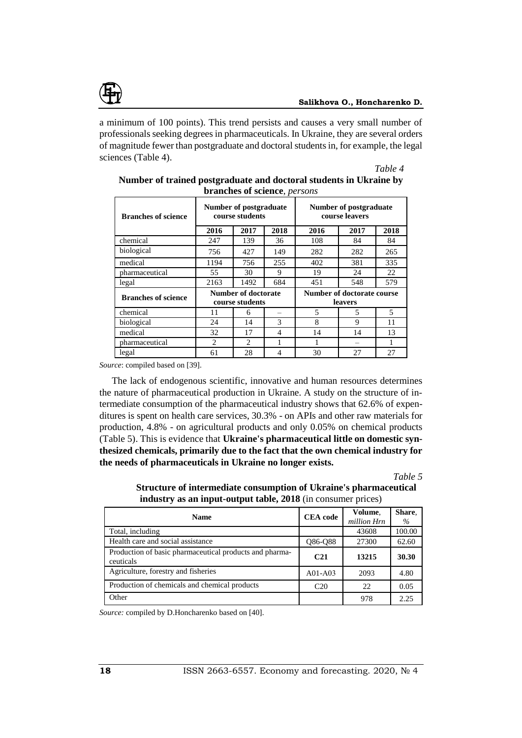

a minimum of 100 points). This trend persists and causes a very small number of professionals seeking degrees in pharmaceuticals. In Ukraine, they are several orders of magnitude fewer than postgraduate and doctoral students in, for example, the legal sciences (Table 4).

*Table 4*

| <b>Branches of science</b> |      | Number of postgraduate<br>course students |      |                            | Number of postgraduate<br>course leavers |      |  |
|----------------------------|------|-------------------------------------------|------|----------------------------|------------------------------------------|------|--|
|                            | 2016 | 2017                                      | 2018 | 2016                       | 2017                                     | 2018 |  |
| chemical                   | 247  | 139                                       | 36   | 108                        | 84                                       | 84   |  |
| biological                 | 756  | 427                                       | 149  | 282                        | 282                                      | 265  |  |
| medical                    | 1194 | 756                                       | 255  | 402                        | 381                                      | 335  |  |
| pharmaceutical             | 55   | 30                                        | 9    | 19                         | 24                                       | 22   |  |
| legal                      | 2163 | 1492                                      | 684  | 451                        | 548                                      | 579  |  |
| <b>Branches of science</b> |      | Number of doctorate                       |      | Number of doctorate course |                                          |      |  |
|                            |      | course students                           |      | leavers                    |                                          |      |  |
| chemical                   | 11   | 6                                         | -    | 5                          | 5                                        | 5    |  |
| biological                 | 24   | 14                                        | 3    | 8                          | 9                                        | 11   |  |
| medical                    | 32   | 17                                        | 4    | 14                         | 14                                       | 13   |  |
| pharmaceutical             | 2    | $\mathfrak{D}$                            |      |                            |                                          |      |  |
| legal                      | 61   | 28                                        | 4    | 30                         | 27                                       | 27   |  |

| Number of trained postgraduate and doctoral students in Ukraine by |
|--------------------------------------------------------------------|
| branches of science, <i>persons</i>                                |

*Source*: compiled based on [39].

The lack of endogenous scientific, innovative and human resources determines the nature of pharmaceutical production in Ukraine. A study on the structure of intermediate consumption of the pharmaceutical industry shows that 62.6% of expenditures is spent on health care services, 30.3% - on APIs and other raw materials for production, 4.8% - on agricultural products and only 0.05% on chemical products (Table 5). This is evidence that **Ukraine's pharmaceutical little on domestic synthesized chemicals, primarily due to the fact that the own chemical industry for the needs of pharmaceuticals in Ukraine no longer exists.**

*Table 5*

| <b>Name</b>                                                          | <b>CEA</b> code | Volume,<br>million Hrn | Share.<br>$\%$ |  |  |
|----------------------------------------------------------------------|-----------------|------------------------|----------------|--|--|
| Total, including                                                     |                 | 43608                  | 100.00         |  |  |
| Health care and social assistance                                    | Q86-Q88         | 27300                  | 62.60          |  |  |
| Production of basic pharmaceutical products and pharma-<br>ceuticals | C <sub>21</sub> | 13215                  | 30.30          |  |  |
| Agriculture, forestry and fisheries                                  | $A01-A03$       | 2093                   | 4.80           |  |  |
| Production of chemicals and chemical products                        | C <sub>20</sub> | 22                     | 0.05           |  |  |
| Other                                                                |                 | 978                    | 2.25           |  |  |

**Structure of intermediate consumption of Ukraine's pharmaceutical industry as an input-output table, 2018** (in consumer prices)

*Source:* compiled by D.Honcharenko based on [40].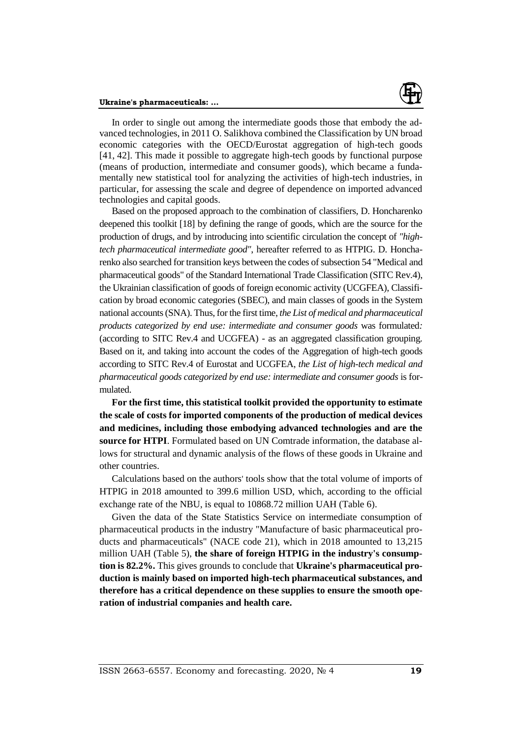

In order to single out among the intermediate goods those that embody the advanced technologies, in 2011 O. Salikhova combined the Classification by UN broad economic categories with the OECD/Eurostat aggregation of high-tech goods [41, 42]. This made it possible to aggregate high-tech goods by functional purpose (means of production, intermediate and consumer goods), which became a fundamentally new statistical tool for analyzing the activities of high-tech industries, in particular, for assessing the scale and degree of dependence on imported advanced technologies and capital goods.

Based on the proposed approach to the combination of classifiers, D. Honcharenko deepened this toolkit [18] by defining the range of goods, which are the source for the production of drugs, and by introducing into scientific circulation the concept of *"hightech pharmaceutical intermediate good"*, hereafter referred to as HTPIG. D. Honcharenko also searched for transition keys between the codes of subsection 54 "Medical and pharmaceutical goods" of the Standard International Trade Classification (SITC Rev.4), the Ukrainian classification of goods of foreign economic activity (UCGFEA), Classification by broad economic categories (SBEC), and main classes of goods in the System national accounts (SNA). Thus, for the first time, *the List of medical and pharmaceutical products categorized by end use: intermediate and consumer goods* was formulated*:*  (according to SITC Rev.4 and UCGFEA) - as an aggregated classification grouping. Based on it, and taking into account the codes of the Aggregation of high-tech goods according to SITC Rev.4 of Eurostat and UCGFEA, *the List of high-tech medical and pharmaceutical goods categorized by end use: intermediate and consumer goods* is formulated.

**For the first time, this statistical toolkit provided the opportunity to estimate the scale of costs for imported components of the production of medical devices and medicines, including those embodying advanced technologies and are the source for HTPI**. Formulated based on UN Comtrade information, the database allows for structural and dynamic analysis of the flows of these goods in Ukraine and other countries.

Calculations based on the authors' tools show that the total volume of imports of HTPIG in 2018 amounted to 399.6 million USD, which, according to the official exchange rate of the NBU, is equal to 10868.72 million UAH (Table 6).

Given the data of the State Statistics Service on intermediate consumption of pharmaceutical products in the industry "Manufacture of basic pharmaceutical products and pharmaceuticals" (NACE code 21), which in 2018 amounted to 13,215 million UAH (Table 5), **the share of foreign HTPIG in the industry's consumption is 82.2%.** This gives grounds to conclude that **Ukraine's pharmaceutical production is mainly based on imported high-tech pharmaceutical substances, and therefore has a critical dependence on these supplies to ensure the smooth operation of industrial companies and health care.**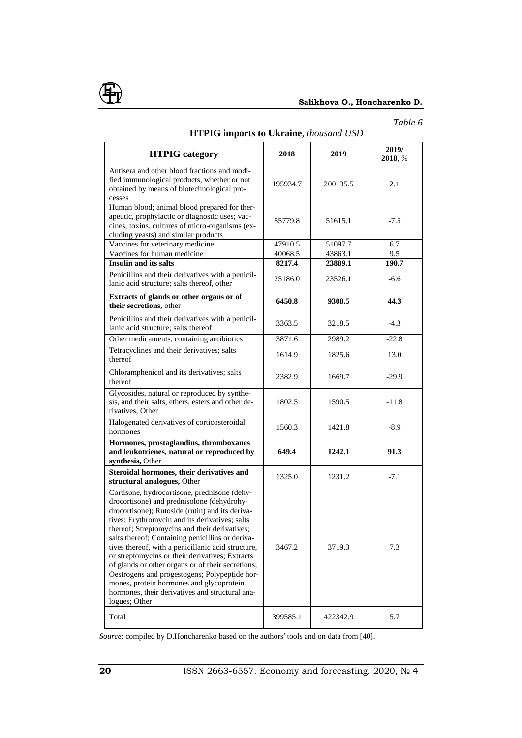

## **Salikhova O., Honcharenko D.**

## *Table 6*

| <b>HTPIG</b> category                                                                                                                                                                                                                                                                                                                                                                                                                                                                                                                                                                                                               | 2018     | 2019     | 2019/<br>2018, % |
|-------------------------------------------------------------------------------------------------------------------------------------------------------------------------------------------------------------------------------------------------------------------------------------------------------------------------------------------------------------------------------------------------------------------------------------------------------------------------------------------------------------------------------------------------------------------------------------------------------------------------------------|----------|----------|------------------|
| Antisera and other blood fractions and modi-<br>fied immunological products, whether or not<br>obtained by means of biotechnological pro-<br>cesses                                                                                                                                                                                                                                                                                                                                                                                                                                                                                 | 195934.7 | 200135.5 | 2.1              |
| Human blood; animal blood prepared for ther-<br>apeutic, prophylactic or diagnostic uses; vac-<br>cines, toxins, cultures of micro-organisms (ex-<br>cluding yeasts) and similar products                                                                                                                                                                                                                                                                                                                                                                                                                                           | 55779.8  | 51615.1  | $-7.5$           |
| Vaccines for veterinary medicine                                                                                                                                                                                                                                                                                                                                                                                                                                                                                                                                                                                                    | 47910.5  | 51097.7  | 6.7              |
| Vaccines for human medicine                                                                                                                                                                                                                                                                                                                                                                                                                                                                                                                                                                                                         | 40068.5  | 43863.1  | 9.5              |
| <b>Insulin and its salts</b>                                                                                                                                                                                                                                                                                                                                                                                                                                                                                                                                                                                                        | 8217.4   | 23889.1  | 190.7            |
| Penicillins and their derivatives with a penicil-<br>lanic acid structure; salts thereof, other                                                                                                                                                                                                                                                                                                                                                                                                                                                                                                                                     | 25186.0  | 23526.1  | $-6.6$           |
| Extracts of glands or other organs or of<br>their secretions, other                                                                                                                                                                                                                                                                                                                                                                                                                                                                                                                                                                 | 6450.8   | 9308.5   | 44.3             |
| Penicillins and their derivatives with a penicil-<br>lanic acid structure; salts thereof                                                                                                                                                                                                                                                                                                                                                                                                                                                                                                                                            | 3363.5   | 3218.5   | $-4.3$           |
| Other medicaments, containing antibiotics                                                                                                                                                                                                                                                                                                                                                                                                                                                                                                                                                                                           | 3871.6   | 2989.2   | $-22.8$          |
| Tetracyclines and their derivatives; salts<br>thereof                                                                                                                                                                                                                                                                                                                                                                                                                                                                                                                                                                               | 1614.9   | 1825.6   | 13.0             |
| Chloramphenicol and its derivatives; salts<br>thereof                                                                                                                                                                                                                                                                                                                                                                                                                                                                                                                                                                               | 2382.9   | 1669.7   | $-29.9$          |
| Glycosides, natural or reproduced by synthe-<br>sis, and their salts, ethers, esters and other de-<br>rivatives, Other                                                                                                                                                                                                                                                                                                                                                                                                                                                                                                              | 1802.5   | 1590.5   | $-11.8$          |
| Halogenated derivatives of corticosteroidal<br>hormones                                                                                                                                                                                                                                                                                                                                                                                                                                                                                                                                                                             | 1560.3   | 1421.8   | $-8.9$           |
| Hormones, prostaglandins, thromboxanes<br>and leukotrienes, natural or reproduced by<br>synthesis, Other                                                                                                                                                                                                                                                                                                                                                                                                                                                                                                                            | 649.4    | 1242.1   | 91.3             |
| Steroidal hormones, their derivatives and<br>structural analogues, Other                                                                                                                                                                                                                                                                                                                                                                                                                                                                                                                                                            | 1325.0   | 1231.2   | $-7.1$           |
| Cortisone, hydrocortisone, prednisone (dehy-<br>drocortisone) and prednisolone (dehydrohy-<br>drocortisone); Rutoside (rutin) and its deriva-<br>tives; Erythromycin and its derivatives; salts<br>thereof; Streptomycins and their derivatives;<br>salts thereof; Containing penicillins or deriva-<br>tives thereof, with a penicillanic acid structure,<br>or streptomycins or their derivatives; Extracts<br>of glands or other organs or of their secretions;<br>Oestrogens and progestogens; Polypeptide hor-<br>mones, protein hormones and glycoprotein<br>hormones, their derivatives and structural ana-<br>logues; Other | 3467.2   | 3719.3   | 7.3              |
| Total                                                                                                                                                                                                                                                                                                                                                                                                                                                                                                                                                                                                                               | 399585.1 | 422342.9 | 5.7              |

### **HTPIG imports to Ukraine**, *thousand USD*

*Source*: compiled by D.Honcharenko based on the authors' tools and on data from [40].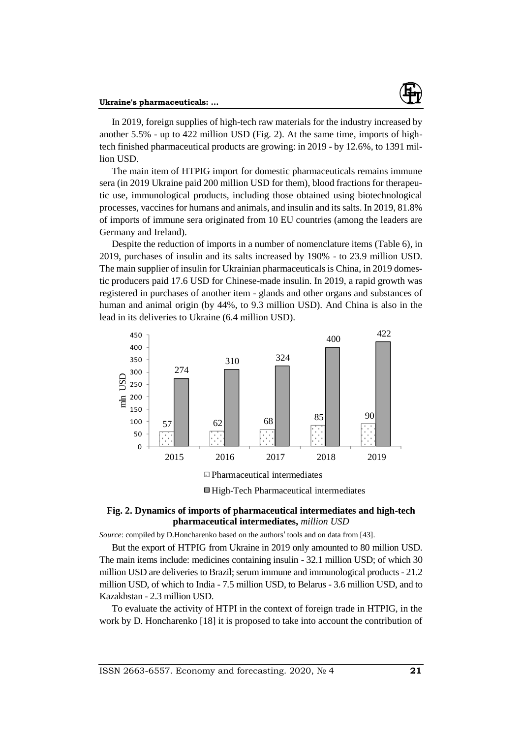

In 2019, foreign supplies of high-tech raw materials for the industry increased by another 5.5% - up to 422 million USD (Fig. 2). At the same time, imports of hightech finished pharmaceutical products are growing: in 2019 - by 12.6%, to 1391 million USD.

The main item of HTPIG import for domestic pharmaceuticals remains immune sera (in 2019 Ukraine paid 200 million USD for them), blood fractions for therapeutic use, immunological products, including those obtained using biotechnological processes, vaccines for humans and animals, and insulin and its salts. In 2019, 81.8% of imports of immune sera originated from 10 EU countries (among the leaders are Germany and Ireland).

Despite the reduction of imports in a number of nomenclature items (Table 6), in 2019, purchases of insulin and its salts increased by 190% - to 23.9 million USD. The main supplier of insulin for Ukrainian pharmaceuticals is China, in 2019 domestic producers paid 17.6 USD for Chinese-made insulin. In 2019, a rapid growth was registered in purchases of another item - glands and other organs and substances of human and animal origin (by 44%, to 9.3 million USD). And China is also in the lead in its deliveries to Ukraine (6.4 million USD).



■ High-Tech Pharmaceutical intermediates

## **Fig. 2. Dynamics of imports of pharmaceutical intermediates and high-tech pharmaceutical intermediates,** *million USD*

*Source*: compiled by D.Honcharenko based on the authors' tools and on data from [43].

But the export of HTPIG from Ukraine in 2019 only amounted to 80 million USD. The main items include: medicines containing insulin - 32.1 million USD; of which 30 million USD are deliveries to Brazil; serum immune and immunological products - 21.2 million USD, of which to India - 7.5 million USD, to Belarus - 3.6 million USD, and to Kazakhstan - 2.3 million USD.

To evaluate the activity of HTPI in the context of foreign trade in HTPIG, in the work by D. Honcharenko [18] it is proposed to take into account the contribution of

ISSN 2663-6557. Economy and forecasting. 2020, № 4 **21**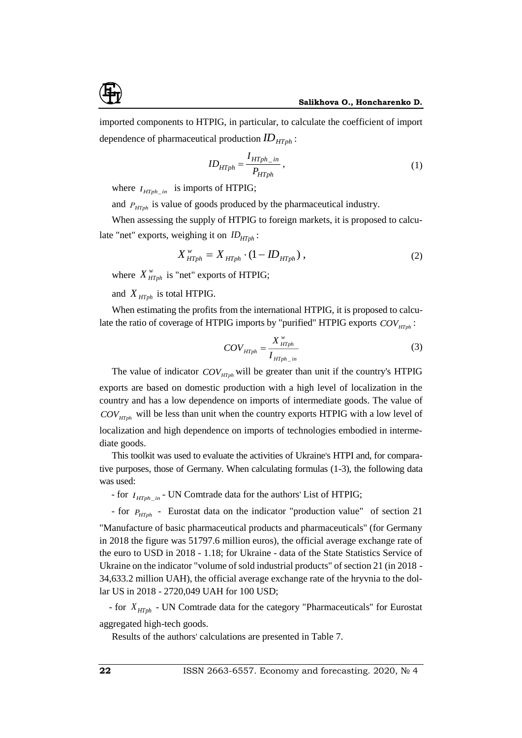imported components to HTPIG, in particular, to calculate the coefficient of import dependence of pharmaceutical production *HTph ID* :

$$
ID_{HTph} = \frac{I_{HTph\_in}}{P_{HTph}}\,,\tag{1}
$$

where  $I_{HTph\_in}$  is imports of HTPIG;

and  $P_{HTph}$  is value of goods produced by the pharmaceutical industry.

When assessing the supply of HTPIG to foreign markets, it is proposed to calculate "net" exports, weighing it on  $ID<sub>HTph</sub>$ :

$$
X_{\text{HTph}}^{\text{w}} = X_{\text{HTph}} \cdot (1 - ID_{\text{HTph}}), \qquad (2)
$$

where  $X^w_{HTph}$  is "net" exports of HTPIG;

and  $X_{\text{HTph}}$  is total HTPIG.

When estimating the profits from the international HTPIG, it is proposed to calculate the ratio of coverage of HTPIG imports by "purified" HTPIG exports  $COV_{HTph}$ :

$$
COV_{H T ph} = \frac{X_{H T ph}^{\nu}}{I_{H T ph\_ in}}
$$
\n<sup>(3)</sup>

The value of indicator  $COV$ <sub>*HTph*</sub> will be greater than unit if the country's HTPIG exports are based on domestic production with a high level of localization in the country and has a low dependence on imports of intermediate goods. The value of *COVHTph* will be less than unit when the country exports HTPIG with a low level of localization and high dependence on imports of technologies embodied in intermediate goods.

This toolkit was used to evaluate the activities of Ukraine's HTPI and, for comparative purposes, those of Germany. When calculating formulas (1-3), the following data was used:

- for  $I_{HTph\_in}$  - UN Comtrade data for the authors' List of HTPIG;

- for  $P_{HTph}$  - Eurostat data on the indicator "production value" of section 21 "Manufacture of basic pharmaceutical products and pharmaceuticals" (for Germany in 2018 the figure was 51797.6 million euros), the official average exchange rate of the euro to USD in 2018 - 1.18; for Ukraine - data of the State Statistics Service of Ukraine on the indicator "volume of sold industrial products" of section 21 (in 2018 - 34,633.2 million UAH), the official average exchange rate of the hryvnia to the dollar US in 2018 - 2720,049 UAH for 100 USD;

 - for *<sup>X</sup> HTph* - UN Comtrade data for the category "Pharmaceuticals" for Eurostat aggregated high-tech goods.

Results of the authors' calculations are presented in Table 7.

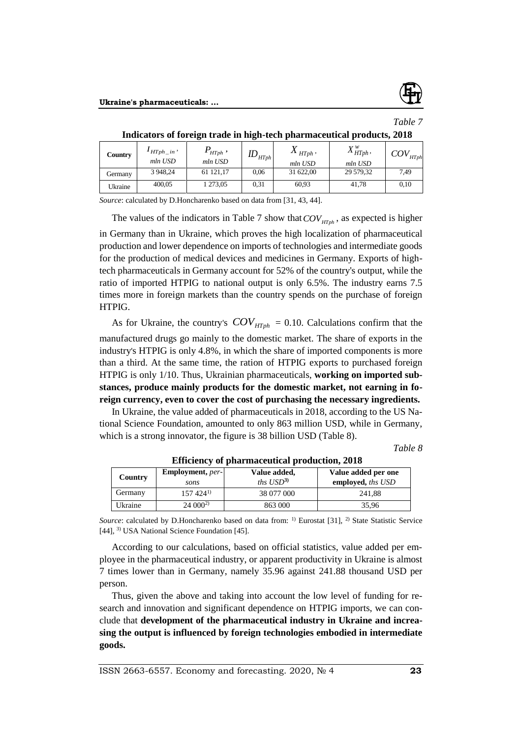

*Table 7*

| Indicators of foreign trade in high-tech pharmaceutical products, 2018 |                               |                                           |               |                        |                      |                                           |
|------------------------------------------------------------------------|-------------------------------|-------------------------------------------|---------------|------------------------|----------------------|-------------------------------------------|
| Country                                                                | $I_{HTph\_in}$ ,<br>$mln$ USD | $P_{_{\scriptstyle{H Tph}}}$ ,<br>mln USD | $ID_{H T ph}$ | $X_{HTph}$ ,           | $X_{HTph}^w$ ,       | $\textit{COV}_{\scriptscriptstyle H Tph}$ |
|                                                                        | 3 948,24                      | 61 121,17                                 | 0.06          | $mln$ USD<br>31 622,00 | mln USD<br>29 579,32 | 7.49                                      |
| Germany                                                                |                               |                                           |               |                        |                      |                                           |
| Ukraine                                                                | 400,05                        | 1 273,05                                  | 0.31          | 60.93                  | 41.78                | 0.10                                      |

*Source*: calculated by D.Honcharenko based on data from [31, 43, 44].

The values of the indicators in Table 7 show that  $COV_{H T ph}$ , as expected is higher in Germany than in Ukraine, which proves the high localization of pharmaceutical production and lower dependence on imports of technologies and intermediate goods for the production of medical devices and medicines in Germany. Exports of hightech pharmaceuticals in Germany account for 52% of the country's output, while the ratio of imported HTPIG to national output is only 6.5%. The industry earns 7.5 times more in foreign markets than the country spends on the purchase of foreign HTPIG.

As for Ukraine, the country's  $COV_{HTph} = 0.10$ . Calculations confirm that the manufactured drugs go mainly to the domestic market. The share of exports in the industry's HTPIG is only 4.8%, in which the share of imported components is more than a third. At the same time, the ration of HTPIG exports to purchased foreign HTPIG is only 1/10. Thus, Ukrainian pharmaceuticals, **working on imported substances, produce mainly products for the domestic market, not earning in foreign currency, even to cover the cost of purchasing the necessary ingredients.**

In Ukraine, the value added of pharmaceuticals in 2018, according to the US National Science Foundation, amounted to only 863 million USD, while in Germany, which is a strong innovator, the figure is 38 billion USD (Table 8).

*Table 8*

| Lincrency of pharmaceacters progression, 2010 |                                 |                       |                     |  |  |  |  |  |
|-----------------------------------------------|---------------------------------|-----------------------|---------------------|--|--|--|--|--|
| Country                                       | <b>Employment</b> , <i>per-</i> | Value added,          | Value added per one |  |  |  |  |  |
|                                               | sons                            | ths $\text{USD}^{3)}$ | employed, ths USD   |  |  |  |  |  |
| Germany                                       | $157424^{1}$                    | 38 077 000            | 241.88              |  |  |  |  |  |
| Ukraine                                       | $24000^{2}$                     | 863 000               | 35,96               |  |  |  |  |  |

**Efficiency of pharmaceutical production, 2018**

*Source*: calculated by D.Honcharenko based on data from: <sup>1)</sup> Eurostat [31], <sup>2)</sup> State Statistic Service [44], <sup>3)</sup> USA National Science Foundation [45].

According to our calculations, based on official statistics, value added per employee in the pharmaceutical industry, or apparent productivity in Ukraine is almost 7 times lower than in Germany, namely 35.96 against 241.88 thousand USD per person.

Thus, given the above and taking into account the low level of funding for research and innovation and significant dependence on HTPIG imports, we can conclude that **development of the pharmaceutical industry in Ukraine and increasing the output is influenced by foreign technologies embodied in intermediate goods.**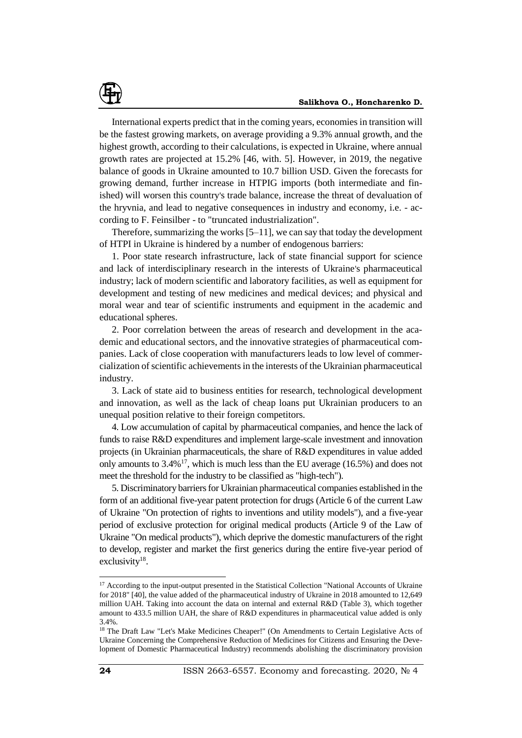International experts predict that in the coming years, economies in transition will be the fastest growing markets, on average providing a 9.3% annual growth, and the highest growth, according to their calculations, is expected in Ukraine, where annual growth rates are projected at 15.2% [46, with. 5]. However, in 2019, the negative balance of goods in Ukraine amounted to 10.7 billion USD. Given the forecasts for growing demand, further increase in HTPIG imports (both intermediate and finished) will worsen this country's trade balance, increase the threat of devaluation of the hryvnia, and lead to negative consequences in industry and economy, i.e. - according to F. Feinsilber - to "truncated industrialization".

Therefore, summarizing the works [5–11], we can say that today the development of HTPI in Ukraine is hindered by a number of endogenous barriers:

1. Poor state research infrastructure, lack of state financial support for science and lack of interdisciplinary research in the interests of Ukraine's pharmaceutical industry; lack of modern scientific and laboratory facilities, as well as equipment for development and testing of new medicines and medical devices; and physical and moral wear and tear of scientific instruments and equipment in the academic and educational spheres.

2. Poor correlation between the areas of research and development in the academic and educational sectors, and the innovative strategies of pharmaceutical companies. Lack of close cooperation with manufacturers leads to low level of commercialization of scientific achievements in the interests of the Ukrainian pharmaceutical industry.

3. Lack of state aid to business entities for research, technological development and innovation, as well as the lack of cheap loans put Ukrainian producers to an unequal position relative to their foreign competitors.

4. Low accumulation of capital by pharmaceutical companies, and hence the lack of funds to raise R&D expenditures and implement large-scale investment and innovation projects (in Ukrainian pharmaceuticals, the share of R&D expenditures in value added only amounts to 3.4%<sup>17</sup>, which is much less than the EU average (16.5%) and does not meet the threshold for the industry to be classified as "high-tech").

5. Discriminatory barriers for Ukrainian pharmaceutical companies established in the form of an additional five-year patent protection for drugs (Article 6 of the current Law of Ukraine "On protection of rights to inventions and utility models"), and a five-year period of exclusive protection for original medical products (Article 9 of the Law of Ukraine "On medical products"), which deprive the domestic manufacturers of the right to develop, register and market the first generics during the entire five-year period of exclusivity<sup>18</sup>.

<sup>&</sup>lt;sup>17</sup> According to the input-output presented in the Statistical Collection "National Accounts of Ukraine for 2018" [40], the value added of the pharmaceutical industry of Ukraine in 2018 amounted to 12,649 million UAH. Taking into account the data on internal and external R&D (Table 3), which together amount to 433.5 million UAH, the share of R&D expenditures in pharmaceutical value added is only 3.4%.

<sup>&</sup>lt;sup>18</sup> The Draft Law "Let's Make Medicines Cheaper!" (On Amendments to Certain Legislative Acts of Ukraine Concerning the Comprehensive Reduction of Medicines for Citizens and Ensuring the Development of Domestic Pharmaceutical Industry) recommends abolishing the discriminatory provision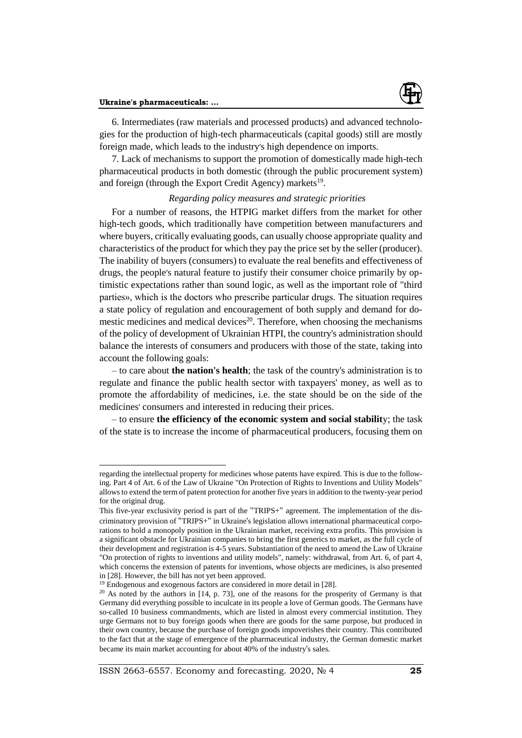

 $\overline{a}$ 

6. Intermediates (raw materials and processed products) and advanced technologies for the production of high-tech pharmaceuticals (capital goods) still are mostly foreign made, which leads to the industry's high dependence on imports.

7. Lack of mechanisms to support the promotion of domestically made high-tech pharmaceutical products in both domestic (through the public procurement system) and foreign (through the Export Credit Agency) markets<sup>19</sup>.

## *Regarding policy measures and strategic priorities*

For a number of reasons, the HTPIG market differs from the market for other high-tech goods, which traditionally have competition between manufacturers and where buyers, critically evaluating goods, can usually choose appropriate quality and characteristics of the product for which they pay the price set by the seller (producer). The inability of buyers (consumers) to evaluate the real benefits and effectiveness of drugs, the people's natural feature to justify their consumer choice primarily by optimistic expectations rather than sound logic, as well as the important role of "third parties», which is the doctors who prescribe particular drugs. The situation requires a state policy of regulation and encouragement of both supply and demand for domestic medicines and medical devices<sup>20</sup>. Therefore, when choosing the mechanisms of the policy of development of Ukrainian HTPI, the country's administration should balance the interests of consumers and producers with those of the state, taking into account the following goals:

– to care about **the nation's health**; the task of the country's administration is to regulate and finance the public health sector with taxpayers' money, as well as to promote the affordability of medicines, i.e. the state should be on the side of the medicines' consumers and interested in reducing their prices.

– to ensure **the efficiency of the economic system and social stabilit**y; the task of the state is to increase the income of pharmaceutical producers, focusing them on

regarding the intellectual property for medicines whose patents have expired. This is due to the following. Part 4 of Art. 6 of the Law of Ukraine "On Protection of Rights to Inventions and Utility Models" allows to extend the term of patent protection for another five years in addition to the twenty-year period for the original drug.

This five-year exclusivity period is part of the "TRIPS+" agreement. The implementation of the discriminatory provision of "TRIPS+" in Ukraine's legislation allows international pharmaceutical corporations to hold a monopoly position in the Ukrainian market, receiving extra profits. This provision is a significant obstacle for Ukrainian companies to bring the first generics to market, as the full cycle of their development and registration is 4-5 years. Substantiation of the need to amend the Law of Ukraine "On protection of rights to inventions and utility models", namely: withdrawal, from Art. 6, of part 4, which concerns the extension of patents for inventions, whose objects are medicines, is also presented in [28]. However, the bill has not yet been approved.

<sup>&</sup>lt;sup>19</sup> Endogenous and exogenous factors are considered in more detail in [28].

 $20$  As noted by the authors in [14, p. 73], one of the reasons for the prosperity of Germany is that Germany did everything possible to inculcate in its people a love of German goods. The Germans have so-called 10 business commandments, which are listed in almost every commercial institution. They urge Germans not to buy foreign goods when there are goods for the same purpose, but produced in their own country, because the purchase of foreign goods impoverishes their country. This contributed to the fact that at the stage of emergence of the pharmaceutical industry, the German domestic market became its main market accounting for about 40% of the industry's sales.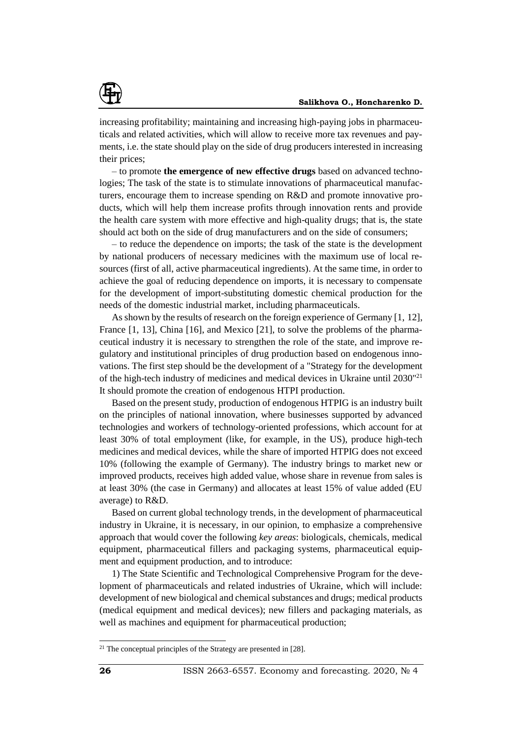

increasing profitability; maintaining and increasing high-paying jobs in pharmaceuticals and related activities, which will allow to receive more tax revenues and payments, i.e. the state should play on the side of drug producers interested in increasing their prices;

– to promote **the emergence of new effective drugs** based on advanced technologies; The task of the state is to stimulate innovations of pharmaceutical manufacturers, encourage them to increase spending on R&D and promote innovative products, which will help them increase profits through innovation rents and provide the health care system with more effective and high-quality drugs; that is, the state should act both on the side of drug manufacturers and on the side of consumers;

– to reduce the dependence on imports; the task of the state is the development by national producers of necessary medicines with the maximum use of local resources (first of all, active pharmaceutical ingredients). At the same time, in order to achieve the goal of reducing dependence on imports, it is necessary to compensate for the development of import-substituting domestic chemical production for the needs of the domestic industrial market, including pharmaceuticals.

As shown by the results of research on the foreign experience of Germany [1, 12], France [1, 13], China [16], and Mexico [21], to solve the problems of the pharmaceutical industry it is necessary to strengthen the role of the state, and improve regulatory and institutional principles of drug production based on endogenous innovations. The first step should be the development of a "Strategy for the development of the high-tech industry of medicines and medical devices in Ukraine until 2030"<sup>21</sup> It should promote the creation of endogenous HTPI production.

Based on the present study, production of endogenous HTPIG is an industry built on the principles of national innovation, where businesses supported by advanced technologies and workers of technology-oriented professions, which account for at least 30% of total employment (like, for example, in the US), produce high-tech medicines and medical devices, while the share of imported HTPIG does not exceed 10% (following the example of Germany). The industry brings to market new or improved products, receives high added value, whose share in revenue from sales is at least 30% (the case in Germany) and allocates at least 15% of value added (EU average) to R&D.

Based on current global technology trends, in the development of pharmaceutical industry in Ukraine, it is necessary, in our opinion, to emphasize a comprehensive approach that would cover the following *key areas*: biologicals, chemicals, medical equipment, pharmaceutical fillers and packaging systems, pharmaceutical equipment and equipment production, and to introduce:

1) The State Scientific and Technological Comprehensive Program for the development of pharmaceuticals and related industries of Ukraine, which will include: development of new biological and chemical substances and drugs; medical products (medical equipment and medical devices); new fillers and packaging materials, as well as machines and equipment for pharmaceutical production;

 $21$  The conceptual principles of the Strategy are presented in [28].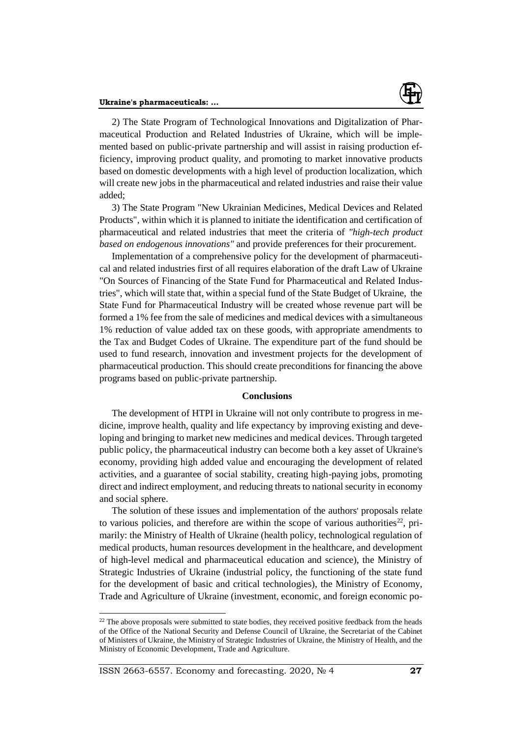

2) The State Program of Technological Innovations and Digitalization of Pharmaceutical Production and Related Industries of Ukraine, which will be implemented based on public-private partnership and will assist in raising production efficiency, improving product quality, and promoting to market innovative products based on domestic developments with a high level of production localization, which will create new jobs in the pharmaceutical and related industries and raise their value added;

3) The State Program "New Ukrainian Medicines, Medical Devices and Related Products", within which it is planned to initiate the identification and certification of pharmaceutical and related industries that meet the criteria of *"high-tech product based on endogenous innovations"* and provide preferences for their procurement.

Implementation of a comprehensive policy for the development of pharmaceutical and related industries first of all requires elaboration of the draft Law of Ukraine "On Sources of Financing of the State Fund for Pharmaceutical and Related Industries", which will state that, within a special fund of the State Budget of Ukraine, the State Fund for Pharmaceutical Industry will be created whose revenue part will be formed a 1% fee from the sale of medicines and medical devices with a simultaneous 1% reduction of value added tax on these goods, with appropriate amendments to the Tax and Budget Codes of Ukraine. The expenditure part of the fund should be used to fund research, innovation and investment projects for the development of pharmaceutical production. This should create preconditions for financing the above programs based on public-private partnership.

### **Conclusions**

The development of HTPI in Ukraine will not only contribute to progress in medicine, improve health, quality and life expectancy by improving existing and developing and bringing to market new medicines and medical devices. Through targeted public policy, the pharmaceutical industry can become both a key asset of Ukraine's economy, providing high added value and encouraging the development of related activities, and a guarantee of social stability, creating high-paying jobs, promoting direct and indirect employment, and reducing threats to national security in economy and social sphere.

The solution of these issues and implementation of the authors' proposals relate to various policies, and therefore are within the scope of various authorities<sup>22</sup>, primarily: the Ministry of Health of Ukraine (health policy, technological regulation of medical products, human resources development in the healthcare, and development of high-level medical and pharmaceutical education and science), the Ministry of Strategic Industries of Ukraine (industrial policy, the functioning of the state fund for the development of basic and critical technologies), the Ministry of Economy, Trade and Agriculture of Ukraine (investment, economic, and foreign economic po-

<sup>&</sup>lt;sup>22</sup> The above proposals were submitted to state bodies, they received positive feedback from the heads of the Office of the National Security and Defense Council of Ukraine, the Secretariat of the Cabinet of Ministers of Ukraine, the Ministry of Strategic Industries of Ukraine, the Ministry of Health, and the Ministry of Economic Development, Trade and Agriculture.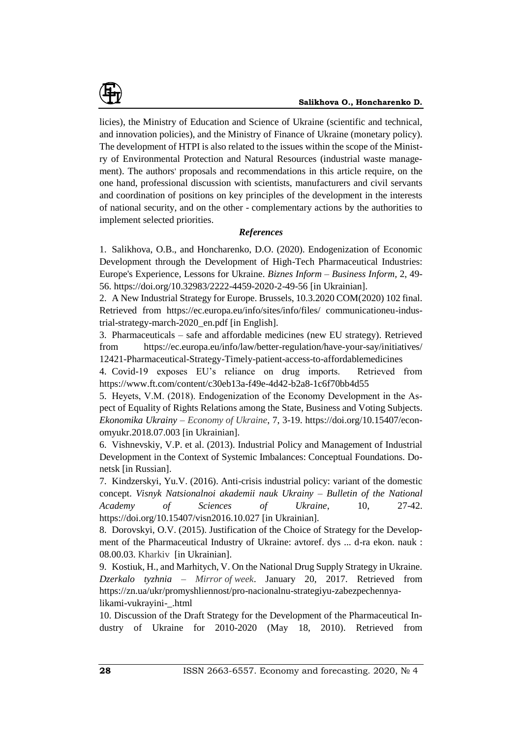

licies), the Ministry of Education and Science of Ukraine (scientific and technical, and innovation policies), and the Ministry of Finance of Ukraine (monetary policy). The development of HTPI is also related to the issues within the scope of the Ministry of Environmental Protection and Natural Resources (industrial waste management). The authors' proposals and recommendations in this article require, on the one hand, professional discussion with scientists, manufacturers and civil servants and coordination of positions on key principles of the development in the interests of national security, and on the other - complementary actions by the authorities to implement selected priorities.

## *References*

1. Salikhova, O.B., and Honcharenko, D.O. (2020). Endogenization of Economic Development through the Development of High-Tech Pharmaceutical Industries: Europe's Experience, Lessons for Ukraine. *Biznes Inform – Business Inform,* 2, 49- 56. https://doi.org/10.32983/2222-4459-2020-2-49-56 [in Ukrainian].

2. A New Industrial Strategy for Europe. Brussels, 10.3.2020 COM(2020) 102 final. Retrieved from https://ec.europa.eu/info/sites/info/files/ communicationeu-industrial-strategy-march-2020\_en.pdf [in English].

3. Pharmaceuticals – safe and affordable medicines (new EU strategy). Retrieved from https://ec.europa.eu/info/law/better-regulation/have-your-say/initiatives/ 12421-Pharmaceutical-Strategy-Timely-patient-access-to-affordablemedicines

4. Covid-19 exposes EU's reliance on drug imports. Retrieved from https://www.ft.com/content/c30eb13a-f49e-4d42-b2a8-1c6f70bb4d55

5. Heуets, V.M. (2018). Endogenization of the Economy Development in the Aspect of Equality of Rights Relations among the State, Business and Voting Subjects. *Ekonomika Ukrainy – Economy of Ukraine*, 7, 3-19. https://doi.org/10.15407/economyukr.2018.07.003 [in Ukrainian].

6. Vishnevskiy, V.P. et al. (2013). Industrial Policy and Management of Industrial Development in the Context of Systemic Imbalances: Conceptual Foundations. Donetsk [in Russian].

7. Kindzerskyi, Yu.V. (2016). Anti-crisis industrial policy: variant of the domestic concept. *Visnyk Natsionalnoi akademii nauk Ukrainy – Bulletin of the National Academy of Sciences of Ukraine*, 10, 27-42. https://doi.org/10.15407/visn2016.10.027 [in Ukrainian].

8. Dorovskyi, O.V. (2015). Justification of the Choice of Strategy for the Development of the Pharmaceutical Industry of Ukraine: avtoref. dys ... d-ra ekon. nauk : 08.00.03. Kharkiv [in Ukrainian].

9. Kostiuk, H., and Marhitych, V. On the National Drug Supply Strategy in Ukraine. *Dzerkalo tyzhnia – Mirror of week*. January 20, 2017. Retrieved from https://zn.ua/ukr/promyshliennost/pro-nacionalnu-strategiyu-zabezpechennyalikami-vukrayini-\_.html

10. Discussion of the Draft Strategy for the Development of the Pharmaceutical Industry of Ukraine for 2010-2020 (May 18, 2010). Retrieved from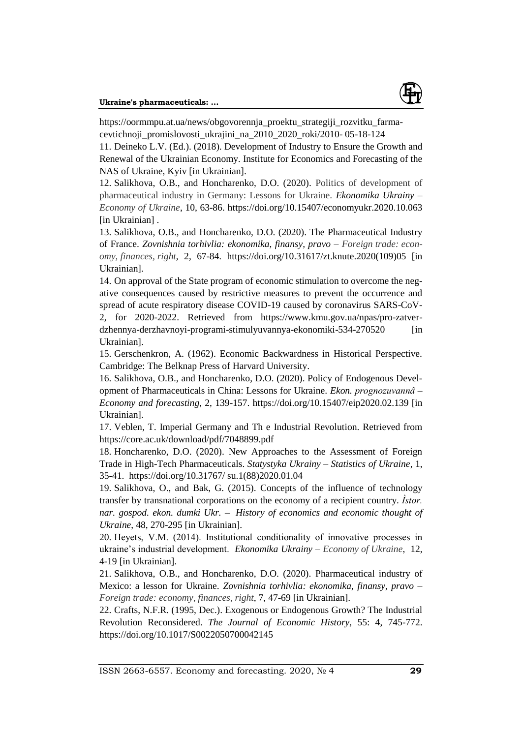

https://oormmpu.at.ua/news/obgovorennja\_proektu\_strategiji\_rozvitku\_farmacevtichnoji\_promislovosti\_ukrajini\_na\_2010\_2020\_roki/2010- 05-18-124

11. Deineko L.V. (Ed.). (2018). Development of Industry to Ensure the Growth and Renewal of the Ukrainian Economy. Institute for Economics and Forecasting of the NAS of Ukraine, Kyiv [in Ukrainian].

12. Salikhova, O.B., and Honcharenko, D.O. (2020). Politics of development of pharmaceutical industry in Germany: Lessons for Ukraine. *Ekonomika Ukrainy – Economy of Ukraine*, 10, 63-86. https://doi.org/10.15407/economyukr.2020.10.063 [in Ukrainian].

13. Salikhova, O.B., and Honcharenko, D.O. (2020). The Pharmaceutical Industry of France. *Zovnishnia torhivlia: ekonomika, finansy, pravo – Foreign trade: economy, finances, right*, 2, 67-84. https://doi.org/10.31617/zt.knute.2020(109)05 [in Ukrainian].

14. On approval of the State program of economic stimulation to overcome the negative consequences caused by restrictive measures to prevent the occurrence and spread of acute respiratory disease COVID-19 caused by coronavirus SARS-CoV-2, for 2020-2022. Retrieved from https://www.kmu.gov.ua/npas/pro-zatverdzhennya-derzhavnoyi-programi-stimulyuvannya-ekonomiki-534-270520 [in Ukrainian].

15. Gerschenkron, A. (1962). Economic Backwardness in Historical Perspective. Cambridge: The Belknap Press of Harvard University.

16. Salikhova, O.B., and Honcharenko, D.O. (2020). Policy of Endogenous Development of Pharmaceuticals in China: Lessons for Ukraine. *Ekon. prognozuvannâ – Economy and forecasting*, 2, 139-157.<https://doi.org/10.15407/eip2020.02.139> [in Ukrainian].

17. Veblen, T. Imperial Germany and Th e Industrial Revolution. Retrieved from https://core.ac.uk/download/pdf/7048899.pdf

18. Honcharenko, D.O. (2020). New Approaches to the Assessment of Foreign Trade in High-Tech Pharmaceuticals. *Statystyka Ukrainy – Statistics of Ukraine*, 1, 35-41. https://doi.org/10.31767/ su.1(88)2020.01.04

19. Salikhova, O., and Bak, G. (2015). Concepts of the influence of technology transfer by transnational corporations on the economy of a recipient country. *Ìstor. nar. gospod. ekon. dumki Ukr. – History of economics and economic thought of Ukraine*, 48, 270-295 [in Ukrainian].

20. Heуets, V.M. (2014). Institutional conditionality of innovative processes in ukraine's industrial development. *Ekonomika Ukrainy – Economy of Ukraine*, 12, 4-19 [in Ukrainian].

21. Salikhova, O.B., and Honcharenko, D.O. (2020). Pharmaceutical industry of Mexico: a lesson for Ukraine. *Zovnishnia torhivlia: ekonomika, finansy, pravo – Foreign trade: economy, finances, right*, 7, 47-69 [in Ukrainian].

22. Crafts, N.F.R. (1995, Dec.). Exogenous or Endogenous Growth? The Industrial Revolution Reconsidered. *The Journal of Economic History,* 55: 4, 745-772. https://doi.org/10.1017/S0022050700042145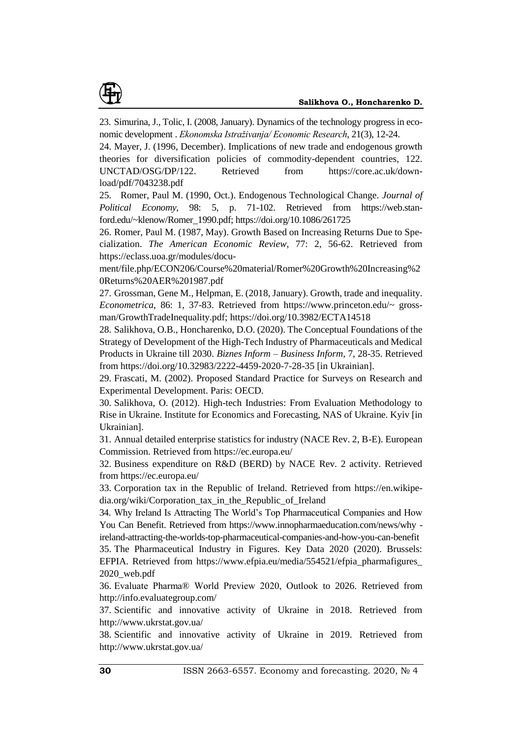

23. Simurina, J., Tolic, I. (2008, January). Dynamics of the technology progress in economic development . *Ekonomska Istraživanja/ Economic Research*, 21(3), 12-24.

24. Mayer, J. (1996, December). Implications of new trade and endogenous growth theories for diversification policies of commodity-dependent countries, 122. UNCTAD/OSG/DP/122. Retrieved from https://core.ac.uk/download/pdf/7043238.pdf

25. Romer, Paul M. (1990, Oct.). Endogenous Technological Change. *Journal of Political Economy*, 98: 5, p. 71-102. Retrieved from https://web.stanford.edu/~klenow/Romer\_1990.pdf; https://doi.org/10.1086/261725

26. Romer, Paul M. (1987, May). Growth Based on Increasing Returns Due to Specialization. *The American Economic Review*, 77: 2, 56-62. Retrieved from [https://eclass.uoa.gr/modules/docu-](https://eclass.uoa.gr/modules/document/file.php/ECON206/Course%20material/Romer%20Growth%20Increasing%20Returns%20AER%201987.pdf)

[ment/file.php/ECON206/Course%20material/Romer%20Growth%20Increasing%2](https://eclass.uoa.gr/modules/document/file.php/ECON206/Course%20material/Romer%20Growth%20Increasing%20Returns%20AER%201987.pdf) [0Returns%20AER%201987.pdf](https://eclass.uoa.gr/modules/document/file.php/ECON206/Course%20material/Romer%20Growth%20Increasing%20Returns%20AER%201987.pdf)

27. Grossman, Gene M., Helpman, E. (2018, January). Growth, trade and inequality. *Econometrica*, 86: 1, 37-83. Retrieved from https://www.princeton.edu/~ grossman/GrowthTradeInequality.pdf; https://doi.org/10.3982/ECTA14518

28. Salikhova, O.B., Honcharenko, D.O. (2020). The Conceptual Foundations of the Strategy of Development of the High-Tech Industry of Pharmaceuticals and Medical Products in Ukraine till 2030. *Biznes Inform – Business Inform,* 7, 28-35. Retrieved from<https://doi.org/10.32983/2222-4459-2020-7-28-35> [in Ukrainian].

29. Frascati, M. (2002). Proposed Standard Practice for Surveys on Research and Experimental Development. Paris: OECD.

30. Salikhova, O. (2012). High-tech Industries: From Evaluation Methodology to Rise in Ukraine. Institute for Economics and Forecasting, NAS of Ukraine. Kyiv [in Ukrainian].

31. Annual detailed enterprise statistics for industry (NACE Rev. 2, B-E). European Commission. Retrieved from [https://ec.europa.eu/](https://ec.europa.eu/knowledge4policy/dataset/beo-sbsnaindr2_en) 

32. Business expenditure on R&D (BERD) by NACE Rev. 2 activity. Retrieved from [https://ec.europa.eu/](https://ec.europa.eu/knowledge4policy/dataset/beo-sbsnaindr2_en)

33. Corporation tax in the Republic of Ireland. Retrieved from https://en.wikipedia.org/wiki/Corporation\_tax\_in\_the\_Republic\_of\_Ireland

34. Why Ireland Is Attracting The World's Top Pharmaceutical Companies and How You Can Benefit. Retrieved from https://www.innopharmaeducation.com/news/why ireland-attracting-the-worlds-top-pharmaceutical-companies-and-how-you-can-benefit 35. The Pharmaceutical Industry in Figures. Key Data 2020 (2020). Brussels: EFPIA. Retrieved from https://www.efpia.eu/media/554521/efpia\_pharmafigures\_ 2020\_web.pdf

36. Evaluate Pharma® World Preview 2020, Outlook to 2026. Retrieved from http://info.evaluategroup.com/

37. Scientific and innovative activity of Ukraine in 2018. Retrieved from <http://www.ukrstat.gov.ua/>

38. Scientific and innovative activity of Ukraine in 2019. Retrieved from <http://www.ukrstat.gov.ua/>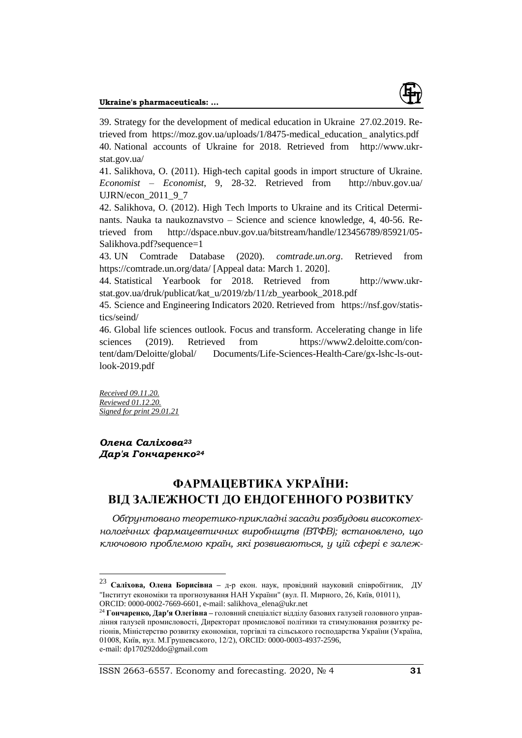

39. Strategy for the development of medical education in Ukraine 27.02.2019. Retrieved from https://moz.gov.ua/uploads/1/8475-medical\_education\_ analytics.pdf 40. National accounts of Ukraine for 2018. Retrieved from [http://www.ukr](http://www.ukrstat.gov.ua/)[stat.gov.ua/](http://www.ukrstat.gov.ua/)

41. Salikhova, O. (2011). High-tech capital goods in import structure of Ukraine. *Economist – Economist*, 9, 28-32. Retrieved from http://nbuv.gov.ua/ UJRN/econ\_2011\_9\_7

42. Salikhova, O. (2012). High Tech lmports to Ukraine and its Critical Determinants. Nauka ta naukoznavstvo – Science and science knowledge, 4, 40-56. Retrieved from [http://dspace.nbuv.gov.ua/bitstream/handle/123456789/85921/05-](http://dspace.nbuv.gov.ua/bitstream/handle/123456789/85921/05-Salikhova.pdf?sequence=1) [Salikhova.pdf?sequence=1](http://dspace.nbuv.gov.ua/bitstream/handle/123456789/85921/05-Salikhova.pdf?sequence=1)

43. UN Comtrade Database (2020). *comtrade.un.org*. Retrieved from https://comtrade.un.org/data/ [Appeal data: March 1. 2020].

44. Statistical Yearbook for 2018. Retrieved from [http://www.ukr](http://www.ukrstat.gov.ua/druk/publicat/kat_u/2019/zb/11/zb_yearbook_2018.pdf)[stat.gov.ua/druk/publicat/kat\\_u/2019/zb/11/zb\\_yearbook\\_2018.pdf](http://www.ukrstat.gov.ua/druk/publicat/kat_u/2019/zb/11/zb_yearbook_2018.pdf)

45. Science and Engineering Indicators 2020. Retrieved from [https://nsf.gov/statis](https://nsf.gov/statistics/seind/)[tics/seind/](https://nsf.gov/statistics/seind/)

46. Global life sciences outlook. Focus and transform. Accelerating change in life sciences (2019). Retrieved from https://www2.deloitte.com/content/dam/Deloitte/global/ Documents/Life-Sciences-Health-Care/gx-lshc-ls-outlook-2019.pdf

*Received 09.11.20. Reviewed 01.12.20. Signed for print 29.01.21*

 $\overline{a}$ 

## *Олена Саліхова<sup>23</sup> Дар′я Гончаренко<sup>24</sup>*

# **ФАРМАЦЕВТИКА УКРАЇНИ: ВІД ЗАЛЕЖНОСТІ ДО ЕНДОГЕННОГО РОЗВИТКУ**

*Обґрунтовано теоретико-прикладні засади розбудови високотехнологічних фармацевтичних виробництв (ВТФВ); встановлено, що ключовою проблемою країн, які розвиваються, у цій сфері є залеж-*

<sup>23</sup> **Саліхова, Олена Борисівна –** д-р екон. наук, провідний науковий співробітник, ДУ "Інститут економіки та прогнозування НАН України" (вул. П. Мирного, 26, Київ, 01011), ORCID: 0000-0002-7669-6601, e-mail: salikhova\_elena@ukr.net

<sup>24</sup> **Гончаренко, Дар′я Олегівна –** головний спеціаліст відділу базових галузей головного управління галузей промисловості, Директорат промислової політики та стимулювання розвитку регіонів, Міністерство розвитку економіки, торгівлі та сільського господарства України (Україна, 01008, Київ, вул. М.Грушевського, 12/2), ORCID: 0000-0003-4937-2596, е-mail: dp170292ddo@gmail.com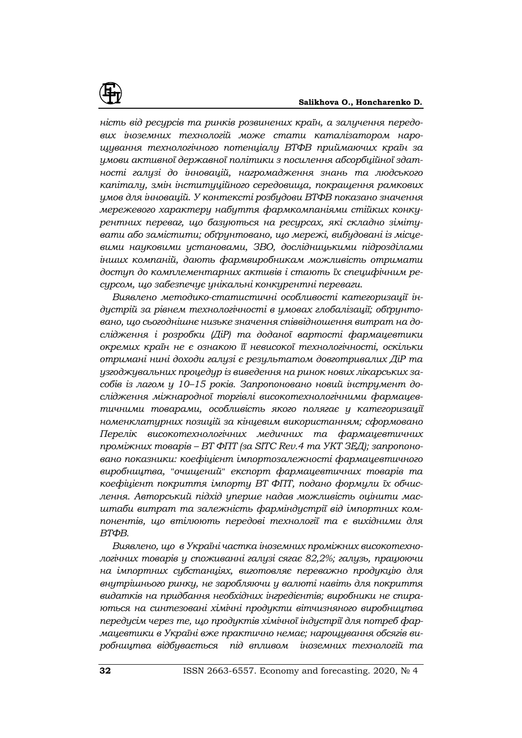

*ність від ресурсів та ринків розвинених країн, а залучення передових іноземних технологій може стати каталізатором нарощування технологічного потенціалу ВТФВ приймаючих країн за умови активної державної політики з посилення абсорбційної здатності галузі до інновацій, нагромадження знань та людського капіталу, змін інституційного середовища, покращення рамкових умов для інновацій. У контексті розбудови ВТФВ показано значення мережевого характеру набуття фармкомпаніями стійких конкурентних переваг, що базуються на ресурсах, які складно зімітувати або замістити; обґрунтовано, що мережі, вибудовані із місцевими науковими установами, ЗВО, дослідницькими підрозділами інших компаній, дають фармвиробникам можливість отримати доступ до комплементарних активів і стають їх специфічним ресурсом, що забезпечує унікальні конкурентні переваги.* 

*Виявлено методико-статистичні особливості категоризації індустрій за рівнем технологічності в умовах глобалізації; обґрунтовано, що сьогоднішнє низьке значення співвідношення витрат на дослідження і розробки (ДіР) та доданої вартості фармацевтики окремих країн не є ознакою її невисокої технологічності, оскільки отримані нині доходи галузі є результатом довготривалих ДіР та узгоджувальних процедур із виведення на ринок нових лікарських засобів із лагом у 10–15 років. Запропоновано новий інструмент дослідження міжнародної торгівлі високотехнологічними фармацевтичними товарами, особливість якого полягає у категоризації номенклатурних позицій за кінцевим використанням; сформовано Перелік високотехнологічних медичних та фармацевтичних проміжних товарів – ВТ ФПТ (за SITC Rev.4 та УКТ ЗЕД); запропоновано показники: коефіцієнт імпортозалежності фармацевтичного виробництва, "очищений" експорт фармацевтичних товарів та коефіцієнт покриття імпорту ВТ ФПТ, подано формули їх обчислення. Авторський підхід уперше надав можливість оцінити масштаби витрат та залежність фарміндустрії від імпортних компонентів, що втілюють передові технології та є вихідними для ВТФВ.* 

*Виявлено, що в Україні частка іноземних проміжних високотехнологічних товарів у споживанні галузі сягає 82,2%; галузь, працюючи на імпортних субстанціях, виготовляє переважно продукцію для внутрішнього ринку, не заробляючи у валюті навіть для покриття видатків на придбання необхідних інгредієнтів; виробники не спираються на синтезовані хімічні продукти вітчизняного виробництва передусім через те, що продуктів хімічної індустрії для потреб фармацевтики в Україні вже практично немає; нарощування обсягів виробництва відбувається під впливом іноземних технологій та*